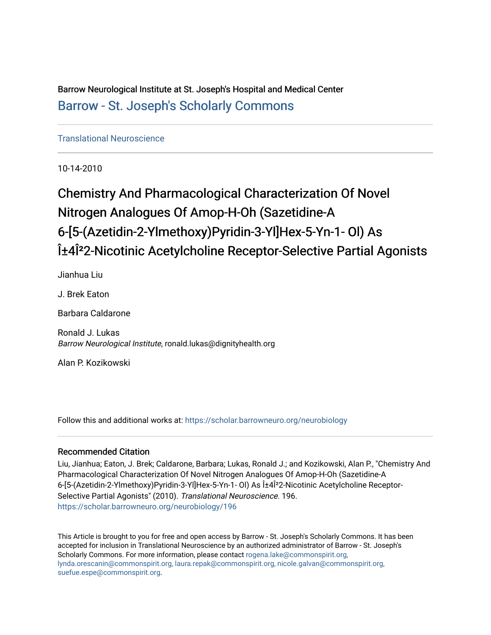Barrow Neurological Institute at St. Joseph's Hospital and Medical Center [Barrow - St. Joseph's Scholarly Commons](https://scholar.barrowneuro.org/) 

[Translational Neuroscience](https://scholar.barrowneuro.org/neurobiology)

10-14-2010

# Chemistry And Pharmacological Characterization Of Novel Nitrogen Analogues Of Amop-H-Oh (Sazetidine-A 6-[5-(Azetidin-2-Ylmethoxy)Pyridin-3-Yl]Hex-5-Yn-1- Ol) As α4Î<sup>2</sup>2-Nicotinic Acetylcholine Receptor-Selective Partial Agonists

Jianhua Liu

J. Brek Eaton

Barbara Caldarone

Ronald J. Lukas Barrow Neurological Institute, ronald.lukas@dignityhealth.org

Alan P. Kozikowski

Follow this and additional works at: [https://scholar.barrowneuro.org/neurobiology](https://scholar.barrowneuro.org/neurobiology?utm_source=scholar.barrowneuro.org%2Fneurobiology%2F196&utm_medium=PDF&utm_campaign=PDFCoverPages)

## Recommended Citation

Liu, Jianhua; Eaton, J. Brek; Caldarone, Barbara; Lukas, Ronald J.; and Kozikowski, Alan P., "Chemistry And Pharmacological Characterization Of Novel Nitrogen Analogues Of Amop-H-Oh (Sazetidine-A 6-[5-(Azetidin-2-Ylmethoxy)Pyridin-3-Yl]Hex-5-Yn-1- Ol) As α4Î<sup>2</sup>2-Nicotinic Acetylcholine Receptor-Selective Partial Agonists" (2010). Translational Neuroscience. 196. [https://scholar.barrowneuro.org/neurobiology/196](https://scholar.barrowneuro.org/neurobiology/196?utm_source=scholar.barrowneuro.org%2Fneurobiology%2F196&utm_medium=PDF&utm_campaign=PDFCoverPages)

This Article is brought to you for free and open access by Barrow - St. Joseph's Scholarly Commons. It has been accepted for inclusion in Translational Neuroscience by an authorized administrator of Barrow - St. Joseph's Scholarly Commons. For more information, please contact [rogena.lake@commonspirit.org,](mailto:rogena.lake@commonspirit.org,%20lynda.orescanin@commonspirit.org,%20laura.repak@commonspirit.org,%20nicole.galvan@commonspirit.org,%20suefue.espe@commonspirit.org) [lynda.orescanin@commonspirit.org, laura.repak@commonspirit.org, nicole.galvan@commonspirit.org,](mailto:rogena.lake@commonspirit.org,%20lynda.orescanin@commonspirit.org,%20laura.repak@commonspirit.org,%20nicole.galvan@commonspirit.org,%20suefue.espe@commonspirit.org)  [suefue.espe@commonspirit.org](mailto:rogena.lake@commonspirit.org,%20lynda.orescanin@commonspirit.org,%20laura.repak@commonspirit.org,%20nicole.galvan@commonspirit.org,%20suefue.espe@commonspirit.org).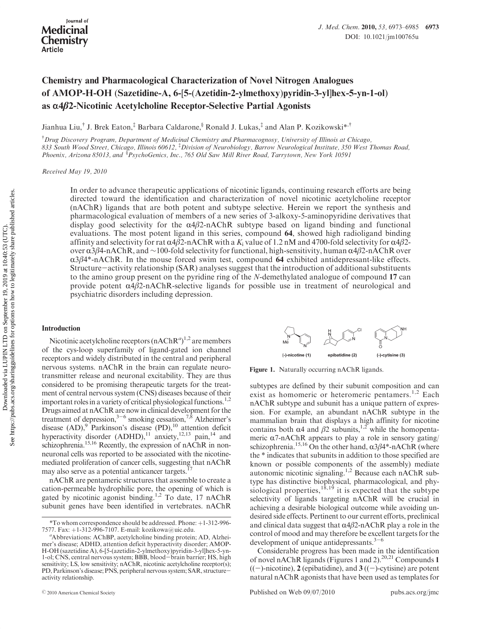# Chemistry and Pharmacological Characterization of Novel Nitrogen Analogues of AMOP-H-OH (Sazetidine-A, 6-[5-(Azetidin-2-ylmethoxy)pyridin-3-yl]hex-5-yn-1-ol) as α4β2-Nicotinic Acetylcholine Receptor-Selective Partial Agonists

Jianhua Liu,† J. Brek Eaton,‡ Barbara Caldarone,§ Ronald J. Lukas,‡ and Alan P. Kozikowski\*,†

† Drug Discovery Program, Department of Medicinal Chemistry and Pharmacognosy, University of Illinois at Chicago, 833 South Wood Street, Chicago, Illinois 60612, ‡ Division of Neurobiology, Barrow Neurological Institute, 350 West Thomas Road, Phoenix, Arizona 85013, and <sup>§</sup>PsychoGenics, Inc., 765 Old Saw Mill River Road, Tarrytown, New York 10591

Received May 19, 2010

In order to advance therapeutic applications of nicotinic ligands, continuing research efforts are being directed toward the identification and characterization of novel nicotinic acetylcholine receptor (nAChR) ligands that are both potent and subtype selective. Herein we report the synthesis and pharmacological evaluation of members of a new series of 3-alkoxy-5-aminopyridine derivatives that display good selectivity for the  $\alpha$ 4 $\beta$ 2-nAChR subtype based on ligand binding and functional evaluations. The most potent ligand in this series, compound 64, showed high radioligand binding affinity and selectivity for rat  $\alpha$ 4β2-nAChR with a K<sub>i</sub> value of 1.2 nM and 4700-fold selectivity for  $\alpha$ 4β2over α3β4-nAChR, and ∼100-fold selectivity for functional, high-sensitivity, human α4β2-nAChR over  $\alpha$ 3β4\*-nAChR. In the mouse forced swim test, compound 64 exhibited antidepressant-like effects. Structure-activity relationship (SAR) analyses suggest that the introduction of additional substituents to the amino group present on the pyridine ring of the N-demethylated analogue of compound 17 can provide potent  $\alpha$ 4β2-nAChR-selective ligands for possible use in treatment of neurological and psychiatric disorders including depression.

### Introduction

Nicotinic acetylcholine receptors  $(nAChR<sup>a</sup>)<sup>1,2</sup>$  are members of the cys-loop superfamily of ligand-gated ion channel receptors and widely distributed in the central and peripheral nervous systems. nAChR in the brain can regulate neurotransmitter release and neuronal excitability. They are thus considered to be promising therapeutic targets for the treatment of central nervous system (CNS) diseases because of their important roles in a variety of critical physiological functions.<sup>1,2</sup> Drugs aimed at nAChR are now in clinical development for the treatment of depression,  $3-6$  smoking cessation,  $7,8$  Alzheimer's disease  $(AD)$ , Parkinson's disease  $(PD)$ , <sup>10</sup> attention deficit hyperactivity disorder  $(ADHD)$ ,<sup>11</sup> anxiety,<sup>12,13</sup> pain,<sup>14</sup> and schizophrenia.<sup>15,16</sup> Recently, the expression of nAChR in nonneuronal cells was reported to be associated with the nicotinemediated proliferation of cancer cells, suggesting that nAChR may also serve as a potential anticancer targets.<sup>17</sup>

nAChR are pentameric structures that assemble to create a cation-permeable hydrophilic pore, the opening of which is gated by nicotinic agonist binding.<sup>1,2</sup> To date, 17 nAChR subunit genes have been identified in vertebrates. nAChR



Figure 1. Naturally occurring nAChR ligands.

subtypes are defined by their subunit composition and can exist as homomeric or heteromeric pentamers.<sup>1,2</sup> Each nAChR subtype and subunit has a unique pattern of expression. For example, an abundant nAChR subtype in the mammalian brain that displays a high affinity for nicotine contains both α4 and β2 subunits,<sup>1,2</sup> while the homopentameric  $\alpha$ 7-nAChR appears to play a role in sensory gating/ schizophrenia.<sup>15,16</sup> On the other hand,  $\alpha 3\beta 4^*$ -nAChR (where the \* indicates that subunits in addition to those specified are known or possible components of the assembly) mediate autonomic nicotinic signaling.1,2 Because each nAChR subtype has distinctive biophysical, pharmacological, and physiological properties,  $18,19$  it is expected that the subtype selectivity of ligands targeting nAChR will be crucial in achieving a desirable biological outcome while avoiding undesired side effects. Pertinent to our current efforts, preclinical and clinical data suggest that  $\alpha$ 4 $\beta$ 2-nAChR play a role in the control of mood and may therefore be excellent targets for the development of unique antidepressants. $3-6$ 

Considerable progress has been made in the identification of novel nAChR ligands (Figures 1 and 2).<sup>20,21</sup> Compounds 1  $((-)$ -nicotine), 2 (epibatidine), and 3 ((-)-cytisine) are potent natural nAChR agonists that have been used as templates for

 $*$ To whom correspondence should be addressed. Phone:  $+1-312-996-$ 7577. Fax: +1-312-996-7107. E-mail: kozikowa@uic.edu.

Abbreviations: AChBP, acetylcholine binding protein; AD, Alzheimer's disease; ADHD, attention deficit hyperactivity disorder; AMOP-H-OH (sazetidine A), 6-[5-(azetidin-2-ylmethoxy)pyridin-3-yl]hex-5-yn-1-ol; CNS, central nervous system; BBB, blood-brain barrier; HS, high sensitivity; LS, low sensitivity; nAChR, nicotinic acetylcholine receptor(s); PD, Parkinson's disease; PNS, peripheral nervous system; SAR, structureactivity relationship.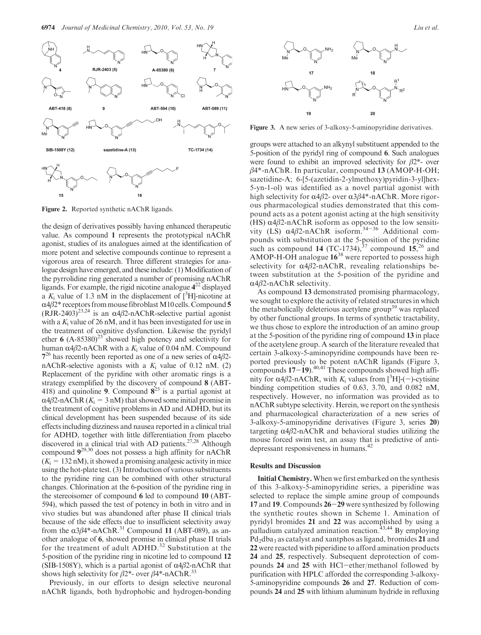

Figure 2. Reported synthetic nAChR ligands.

the design of derivatives possibly having enhanced therapeutic value. As compound 1 represents the prototypical nAChR agonist, studies of its analogues aimed at the identification of more potent and selective compounds continue to represent a vigorous area of research. Three different strategies for analogue design have emerged, and these include: (1) Modification of the pyrrolidine ring generated a number of promising nAChR ligands. For example, the rigid nicotine analogue  $4^{22}$  displayed a  $K_i$  value of 1.3 nM in the displacement of  $[^3H]$ -nicotine at  $\alpha$ 4 $\beta$ 2\* receptors from mouse fibroblast M10 cells. Compound 5  $(RJR-2403)^{23,24}$  is an  $\alpha$ 4 $\beta$ 2-nAChR-selective partial agonist with a  $K_i$  value of 26 nM, and it has been investigated for use in the treatment of cognitive dysfunction. Likewise the pyridyl ether 6  $(A-85380)^{25}$  showed high potency and selectivity for human  $\alpha$ 4β2-nAChR with a K<sub>i</sub> value of 0.04 nM. Compound 7<sup>26</sup> has recently been reported as one of a new series of  $α4β2$ nAChR-selective agonists with a  $K_i$  value of 0.12 nM. (2) Replacement of the pyridine with other aromatic rings is a strategy exemplified by the discovery of compound 8 (ABT-418) and quinoline 9. Compound  $8^{25}$  is a partial agonist at  $\alpha$ 4β2-nAChR ( $K_i = 3$  nM) that showed some initial promise in the treatment of cognitive problems in AD and ADHD, but its clinical development has been suspended because of its side effects including dizziness and nausea reported in a clinical trial for ADHD, together with little differentiation from placebo discovered in a clinical trial with AD patients.<sup>27,28</sup> Although compound 929,30 does not possess a high affinity for nAChR  $(K<sub>i</sub> = 132 \text{ nM})$ , it showed a promising analgesic activity in mice using the hot-plate test. (3) Introduction of various substituents to the pyridine ring can be combined with other structural changes. Chlorination at the 6-position of the pyridine ring in the stereoisomer of compound 6 led to compound 10 (ABT-594), which passed the test of potency in both in vitro and in vivo studies but was abandoned after phase II clinical trials because of the side effects due to insufficient selectivity away from the  $\alpha$ 3 $\beta$ 4\*-nAChR.<sup>31</sup> Compound 11 (ABT-089), as another analogue of 6, showed promise in clinical phase II trials for the treatment of adult ADHD.<sup>32</sup> Substitution at the 5-position of the pyridine ring in nicotine led to compound 12 (SIB-1508Y), which is a partial agonist of  $\alpha$ 4 $\beta$ 2-nAChR that shows high selectivity for  $\beta$ 2\*- over  $\beta$ 4\*-nAChR.<sup>33</sup>

Previously, in our efforts to design selective neuronal nAChR ligands, both hydrophobic and hydrogen-bonding



Figure 3. A new series of 3-alkoxy-5-aminopyridine derivatives.

groups were attached to an alkynyl substituent appended to the 5-position of the pyridyl ring of compound 6. Such analogues were found to exhibit an improved selectivity for  $\beta$ 2\*- over  $\beta$ 4\*-nAChR. In particular, compound 13 (AMOP-H-OH; sazetidine-A; 6-[5-(azetidin-2-ylmethoxy)pyridin-3-yl]hex-5-yn-1-ol) was identified as a novel partial agonist with high selectivity for  $\alpha$ 4β2- over  $\alpha$ 3β4\*-nAChR. More rigorous pharmacological studies demonstrated that this compound acts as a potent agonist acting at the high sensitivity (HS)  $\alpha$ 4 $\beta$ 2-nAChR isoform as opposed to the low sensitivity (LS)  $\alpha$ 4 $\beta$ 2-nAChR isoform.<sup>34-36</sup> Additional compounds with substitution at the 5-position of the pyridine such as compound 14 (TC-1734),  $37$  compound  $15$ ,  $26$  and AMOP-H-OH analogue  $16^{38}$  were reported to possess high selectivity for  $\alpha$ 4β2-nAChR, revealing relationships between substitution at the 5-position of the pyridine and  $\alpha$ 4 $\beta$ 2-nAChR selectivity.

As compound 13 demonstrated promising pharmacology, we sought to explore the activity of related structures in which the metabolically deleterious acetylene group<sup>39</sup> was replaced by other functional groups. In terms of synthetic tractability, we thus chose to explore the introduction of an amino group at the 5-position of the pyridine ring of compound 13 in place of the acetylene group. A search of the literature revealed that certain 3-alkoxy-5-aminopyridine compounds have been reported previously to be potent nAChR ligands (Figure 3, compounds  $17-19$ .<sup>40,41</sup> These compounds showed high affinity for α4β2-nAChR, with  $K_i$  values from [<sup>3</sup>H]-(-)-cytisine binding competition studies of 0.63, 3.70, and 0.082 nM, respectively. However, no information was provided as to nAChR subtype selectivity. Herein, we report on the synthesis and pharmacological characterization of a new series of 3-alkoxy-5-aminopyridine derivatives (Figure 3, series 20) targeting  $\alpha$ 4β2-nAChR and behavioral studies utilizing the mouse forced swim test, an assay that is predictive of antidepressant responsiveness in humans.<sup>42</sup>

### Results and Discussion

Initial Chemistry.When we first embarked on the synthesis of this 3-alkoxy-5-aminopyridine series, a piperidine was selected to replace the simple amine group of compounds 17 and 19. Compounds 26-29 were synthesized by following the synthetic routes shown in Scheme 1. Amination of pyridyl bromides 21 and 22 was accomplished by using a palladium catalyzed amination reaction.<sup>43,44</sup> By employing Pd<sub>2</sub>dba<sub>3</sub> as catalyst and xantphos as ligand, bromides 21 and 22 were reacted with piperidine to afford amination products 24 and 25, respectively. Subsequent deprotection of compounds 24 and 25 with HCl-ether/methanol followed by purification with HPLC afforded the corresponding 3-alkoxy-5-aminopyridine compounds 26 and 27. Reduction of compounds 24 and 25 with lithium aluminum hydride in refluxing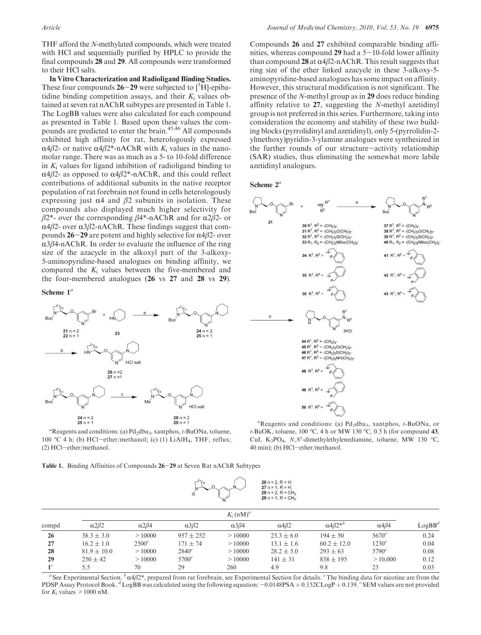THF afford the N-methylated compounds, which were treated with HCl and sequentially purified by HPLC to provide the final compounds 28 and 29. All compounds were transformed to their HCl salts.

In Vitro Characterization and Radioligand Binding Studies. These four compounds  $26-29$  were subjected to  $[3H]$ -epibatidine binding competition assays, and their  $K_i$  values obtained at seven rat nAChR subtypes are presented in Table 1. The LogBB values were also calculated for each compound as presented in Table 1. Based upon these values the compounds are predicted to enter the brain.<sup>45,46</sup> All compounds exhibited high affinity for rat, heterologously expressed α4β2- or native α4β2\*-nAChR with  $K_i$  values in the nanomolar range. There was as much as a 5- to 10-fold difference in  $K_i$  values for ligand inhibition of radioligand binding to  $α4β2$ - as opposed to  $α4β2$ <sup>\*</sup>-nAChR, and this could reflect contributions of additional subunits in the native receptor population of rat forebrain not found in cells heterologously expressing just  $\alpha$ 4 and  $\beta$ 2 subunits in isolation. These compounds also displayed much higher selectivity for  $β2^*$ - over the corresponding  $β4^*$ -nAChR and for α2β2- or  $α4β2$ - over  $α3β2$ -nAChR. These findings suggest that compounds 26-29 are potent and highly selective for  $\alpha$ 4β2- over  $\alpha$ 3 $\beta$ 4-nAChR. In order to evaluate the influence of the ring size of the azacycle in the alkoxyl part of the 3-alkoxy-5-aminopyridine-based analogues on binding affinity, we compared the  $K_i$  values between the five-membered and the four-membered analogues (26 vs 27 and 28 vs 29).

#### Scheme  $1^a$



<sup>a</sup>Reagents and conditions: (a)  $Pd_2dba_3$ , xantphos, t-BuONa, toluene, 100 °C 4 h; (b) HCl-ether/methanol; (c) (1) LiAlH<sub>4</sub>, THF, reflux; (2) HCl-ether/methanol.

Compounds 26 and 27 exhibited comparable binding affinities, whereas compound 29 had a  $5-10$ -fold lower affinity than compound 28 at  $\alpha$ 4 $\beta$ 2-nAChR. This result suggests that ring size of the ether linked azacycle in these 3-alkoxy-5 aminopyridine-based analogues has some impact on affinity. However, this structural modification is not significant. The presence of the N-methyl group as in 29 does reduce binding affinity relative to 27, suggesting the N-methyl azetidinyl group is not preferred in this series. Furthermore, taking into consideration the economy and stability of these two building blocks (pyrrolidinyl and azetidinyl), only 5-(pyrrolidin-2 ylmethoxy)pyridin-3-ylamine analogues were synthesized in the further rounds of our structure-activity relationship (SAR) studies, thus eliminating the somewhat more labile azetidinyl analogues.

#### Scheme  $2^a$



<sup>a</sup>Reagents and conditions: (a)  $Pd_2dba_3$ , xantphos, t-BuONa, or  $t$ -BuOK, toluene, 100 °C, 4 h or MW 130 °C, 0.5 h (for compound 43, CuI, K<sub>3</sub>PO<sub>4</sub>, N,N'-dimethylethylenediamine, toluene, MW 130 °C, 40 min); (b) HCl-ether/methanol.

Table 1. Binding Affinities of Compounds 26-29 at Seven Rat nAChR Subtypes



|       | $K_i$ (nM) <sup>a</sup> |                      |                      |                      |                      |                                   |                      |                    |  |
|-------|-------------------------|----------------------|----------------------|----------------------|----------------------|-----------------------------------|----------------------|--------------------|--|
| compd | $\alpha$ 2 $\beta$ 2    | $\alpha$ 2 $\beta$ 4 | $\alpha$ 3 $\beta$ 2 | $\alpha$ 3 $\beta$ 4 | $\alpha$ 4 $\beta$ 2 | $\alpha$ 4 $\beta$ 2 <sup>*</sup> | $\alpha$ 4 $\beta$ 4 | $\mathtt{LogBB}^d$ |  |
| 26    | $38.3 \pm 3.0$          | >10000               | $957 \pm 252$        | >10000               | $23.3 \pm 6.0$       | $194 \pm 50$                      | $5670^e$             | 0.24               |  |
| 27    | $16.2 \pm 1.0$          | $2500^e$             | $171 + 74$           | >10000               | $13.1 \pm 1.6$       | $60.2 \pm 12.0$                   | 1230 <sup>e</sup>    | 0.04               |  |
| 28    | $81.9 \pm 10.0$         | >10000               | $2840^e$             | >10000               | $28.2 \pm 5.0$       | $293 + 63$                        | $5790^e$             | 0.08               |  |
| 29    | $250 \pm 42$            | >10000               | $5700^e$             | >10000               | $141 \pm 31$         | $838 + 195$                       | >10,000              | 0.12               |  |
|       | 5.5                     | 70                   | 29                   | 260                  | 4.9                  | 9.8                               | 23                   | 0.03               |  |

<sup>a</sup> See Experimental Section.  $b \alpha 4\beta 2^*$ , prepared from rat forebrain, see Experimental Section for details. <sup>c</sup> The binding data for nicotine are from the PDSP Assay Protocol Book.  ${}^{d}$ LogBB was calculated using the following equation:  $-0.0148PSA + 0.152CLogP + 0.139$ .  ${}^{e}$  SEM values are not provided for  $K_i$  values  $>1000$  nM.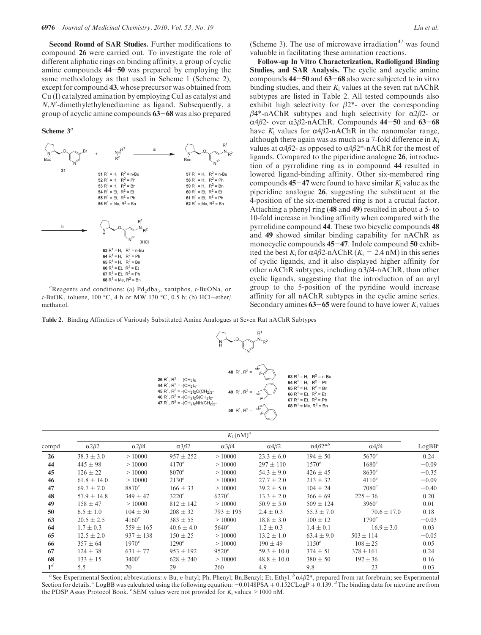Second Round of SAR Studies. Further modifications to compound 26 were carried out. To investigate the role of different aliphatic rings on binding affinity, a group of cyclic amine compounds 44-50 was prepared by employing the same methodology as that used in Scheme 1 (Scheme 2), except for compound 43, whose precursor was obtained from Cu (I) catalyzed amination by employing CuI as catalyst and  $N, N'$ -dimethylethylenediamine as ligand. Subsequently, a group of acyclic amine compounds 63-68 was also prepared

#### Scheme  $3<sup>a</sup>$



<sup>a</sup>Reagents and conditions: (a)  $Pd_2dba_3$ , xantphos, t-BuONa, or t-BuOK, toluene, 100 °C, 4 h or MW 130 °C, 0.5 h; (b) HCl-ether/ methanol.

Table 2. Binding Affinities of Variously Substituted Amine Analogues at Seven Rat nAChR Subtypes



|                | $K_i$ (nM) <sup>a</sup> |                      |                   |                      |                      |                                   |                      |           |  |
|----------------|-------------------------|----------------------|-------------------|----------------------|----------------------|-----------------------------------|----------------------|-----------|--|
| compd          | $\alpha$ 2 $\beta$ 2    | $\alpha$ 2 $\beta$ 4 | $\alpha 3\beta 2$ | $\alpha$ 3 $\beta$ 4 | $\alpha$ 4 $\beta$ 2 | $\alpha$ 4 $\beta$ 2 <sup>*</sup> | $\alpha$ 4 $\beta$ 4 | $LogBB^c$ |  |
| 26             | $38.3 \pm 3.0$          | >10000               | $957 + 252$       | >10000               | $23.3 \pm 6.0$       | $194 \pm 50$                      | $5670^e$             | 0.24      |  |
| 44             | $445 \pm 98$            | >10000               | $4170^e$          | >10000               | $297 \pm 110$        | $1570^e$                          | $1680^e$             | $-0.09$   |  |
| 45             | $126 \pm 22$            | >10000               | $8070^e$          | >10000               | $54.3 \pm 9.0$       | $426 + 45$                        | 8630 <sup>e</sup>    | $-0.35$   |  |
| 46             | $61.8 \pm 14.0$         | >10000               | $2130^e$          | >10000               | $27.7 \pm 2.0$       | $213 \pm 32$                      | $4110^e$             | $-0.09$   |  |
| 47             | $69.7 \pm 7.0$          | $8870^{e}$           | $166 \pm 33$      | >10000               | $39.2 \pm 5.0$       | $104 \pm 24$                      | $7080^e$             | $-0.40$   |  |
| 48             | $57.9 \pm 14.8$         | $349 \pm 47$         | $3220^e$          | $6270^e$             | $13.3 \pm 2.0$       | $366 \pm 69$                      | $225 \pm 36$         | 0.20      |  |
| 49             | $158 \pm 47$            | >10000               | $812 \pm 142$     | >10000               | $50.9 \pm 5.0$       | $509 \pm 124$                     | $3960^e$             | 0.01      |  |
| 50             | $6.5 \pm 1.0$           | $104 \pm 30$         | $208 \pm 32$      | $793 \pm 195$        | $2.4 \pm 0.3$        | $55.3 \pm 7.0$                    | $70.6 \pm 17.0$      | 0.18      |  |
| 63             | $20.5 \pm 2.5$          | $4160^e$             | $383 \pm 55$      | >10000               | $18.8 \pm 3.0$       | $100 \pm 12$                      | $1790^e$             | $-0.03$   |  |
| 64             | $1.7 \pm 0.3$           | $559 \pm 165$        | $40.6 \pm 4.0$    | $5640^{e}$           | $1.2 \pm 0.3$        | $1.4 \pm 0.1$                     | $16.9 \pm 3.0$       | 0.03      |  |
| 65             | $12.5 \pm 2.0$          | $937 \pm 138$        | $150 \pm 25$      | >10000               | $13.2 \pm 1.0$       | $63.4 \pm 9.0$                    | $503 \pm 114$        | $-0.05$   |  |
| 66             | $357 \pm 64$            | $1970^e$             | $1290^e$          | >10000               | $190 \pm 49$         | $1150^e$                          | $108 \pm 25$         | 0.05      |  |
| 67             | $124 \pm 38$            | $631 \pm 77$         | $953 \pm 192$     | $9520^e$             | $59.3 \pm 10.0$      | $374 \pm 51$                      | $378 \pm 161$        | 0.24      |  |
| 68             | $133 \pm 15$            | $3400^e$             | $628 \pm 240$     | >10000               | $48.8 \pm 10.0$      | $380 \pm 50$                      | $192 \pm 36$         | 0.16      |  |
| 1 <sup>d</sup> | 5.5                     | 70                   | 29                | 260                  | 4.9                  | 9.8                               | 23                   | 0.03      |  |

<sup>a</sup> See Experimental Section; abbreviations: *n*-Bu, *n*-butyl; Ph, Phenyl; Bn,Benzyl; Et, Ethyl.  $\frac{h}{\alpha}4\beta2^*$ , prepared from rat forebrain; see Experimental Section for details. CLogBB was calculated using the following equation:  $-0.0148PSA + 0.152CLopP + 0.139$ . The binding data for nicotine are from the PDSP Assay Protocol Book.  $\epsilon$  SEM values were not provided for  $K_i$  values  $>1000$  nM.

(Scheme 3). The use of microwave irradiation $47$  was found valuable in facilitating these amination reactions.

Follow-up In Vitro Characterization, Radioligand Binding Studies, and SAR Analysis. The cyclic and acyclic amine compounds 44-50 and 63-68 also were subjected to in vitro binding studies, and their  $K_i$  values at the seven rat nAChR subtypes are listed in Table 2. All tested compounds also exhibit high selectivity for  $\beta$ 2\*- over the corresponding  $β4*-nAChR$  subtypes and high selectivity for α2β2- or  $\alpha$ 4β2- over  $\alpha$ 3β2-nAChR. Compounds 44-50 and 63-68 have  $K_i$  values for  $\alpha$ 4β2-nAChR in the nanomolar range, although there again was as much as a 7-fold difference in  $K_i$ values at α4β2- as opposed to  $α4β2*-nAChR$  for the most of ligands. Compared to the piperidine analogue 26, introduction of a pyrrolidine ring as in compound 44 resulted in lowered ligand-binding affinity. Other six-membered ring compounds  $45-47$  were found to have similar  $K_i$  value as the piperidine analogue 26, suggesting the substituent at the 4-position of the six-membered ring is not a crucial factor. Attaching a phenyl ring (48 and 49) resulted in about a 5- to 10-fold increase in binding affinity when compared with the pyrrolidine compound 44. These two bicyclic compounds 48 and 49 showed similar binding capability for nAChR as monocyclic compounds 45-47. Indole compound 50 exhibited the best K<sub>i</sub> for  $\alpha$ 4β2-nAChR (K<sub>i</sub> = 2.4 nM) in this series of cyclic ligands, and it also displayed higher affinity for other nAChR subtypes, including  $\alpha$ 3 $\beta$ 4-nAChR, than other cyclic ligands, suggesting that the introduction of an aryl group to the 5-position of the pyridine would increase affinity for all nAChR subtypes in the cyclic amine series. Secondary amines  $63-65$  were found to have lower  $K_i$  values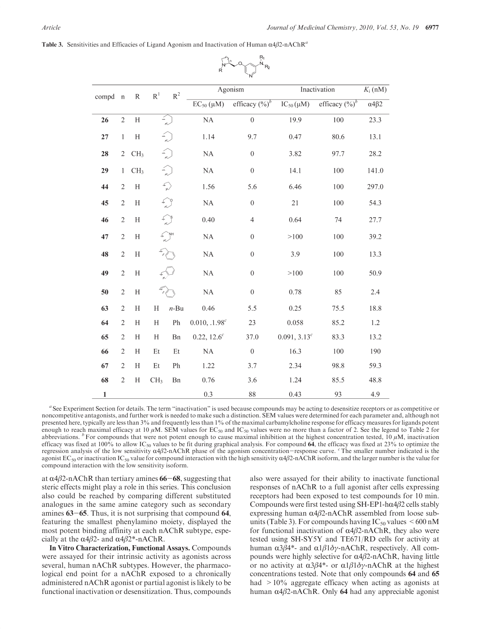Table 3. Sensitivities and Efficacies of Ligand Agonism and Inactivation of Human  $\alpha$ 4 $\beta$ 2-nAChR<sup>a</sup>

|              |                |                           |                           |                                                                                   |                           | `N´               |                          |                   |                              |
|--------------|----------------|---------------------------|---------------------------|-----------------------------------------------------------------------------------|---------------------------|-------------------|--------------------------|-------------------|------------------------------|
|              |                | $\,$ R                    | $\mathbf{R}^1$            | $\mathbb{R}^2$                                                                    |                           | Agonism           | Inactivation             | $K_i$ (nM)        |                              |
| compd        | $\mathbf{n}$   |                           |                           |                                                                                   | $EC_{50}(\mu M)$          | efficacy $(\%)^b$ | $IC_{50}(\mu M)$         | efficacy $(\%)^b$ | $\overline{\alpha 4\beta 2}$ |
| 26           | $\sqrt{2}$     | $\boldsymbol{\mathrm{H}}$ |                           | $\leqslant \frac{1}{\kappa}$                                                      | NA                        | $\overline{0}$    | 19.9                     | 100               | 23.3                         |
| 27           | $\mathbf{1}$   | $\mathbf H$               |                           |                                                                                   | 1.14                      | 9.7               | 0.47                     | 80.6              | 13.1                         |
| 28           | $\overline{2}$ | CH <sub>3</sub>           |                           |                                                                                   | $\rm NA$                  | $\boldsymbol{0}$  | 3.82                     | 97.7              | 28.2                         |
| 29           | $\mathbf{1}$   | CH <sub>3</sub>           |                           | m                                                                                 | $\rm NA$                  | $\boldsymbol{0}$  | 14.1                     | 100               | 141.0                        |
| 44           | $\sqrt{2}$     | $\boldsymbol{\mathrm{H}}$ |                           | $\begin{matrix} \mathcal{M}_{\mathrm{c}} \ \mathcal{M}_{\mathrm{c}} \end{matrix}$ | 1.56                      | 5.6               | 6.46                     | 100               | 297.0                        |
| 45           | $\sqrt{2}$     | $\rm H$                   |                           |                                                                                   | $\rm NA$                  | $\boldsymbol{0}$  | $21\,$                   | 100               | 54.3                         |
| 46           | $\sqrt{2}$     | $\rm H$                   |                           |                                                                                   | 0.40                      | $\overline{4}$    | 0.64                     | 74                | 27.7                         |
| 47           | $\sqrt{2}$     | $\rm H$                   |                           |                                                                                   | NA                        | $\boldsymbol{0}$  | >100                     | 100               | 39.2                         |
| 48           | $\sqrt{2}$     | $\rm H$                   |                           |                                                                                   | $\rm NA$                  | $\boldsymbol{0}$  | 3.9                      | 100               | 13.3                         |
| 49           | $\sqrt{2}$     | $\rm H$                   |                           |                                                                                   | NA                        | $\boldsymbol{0}$  | >100                     | 100               | 50.9                         |
| 50           | $\sqrt{2}$     | $\boldsymbol{\mathrm{H}}$ |                           |                                                                                   | $\rm NA$                  | $\boldsymbol{0}$  | 0.78                     | 85                | 2.4                          |
| 63           | $\sqrt{2}$     | $\rm H$                   | $\boldsymbol{\mathrm{H}}$ | $n$ -Bu                                                                           | 0.46                      | 5.5               | 0.25                     | 75.5              | 18.8                         |
| 64           | $\overline{2}$ | H                         | H                         | ${\rm Ph}$                                                                        | 0.010, .1.98 <sup>c</sup> | 23                | 0.058                    | 85.2              | 1.2                          |
| 65           | $\mathbf{2}$   | Н                         | H                         | Bn                                                                                | $0.22, 12.6^c$            | 37.0              | 0.091, 3.13 <sup>c</sup> | 83.3              | 13.2                         |
| 66           | $\sqrt{2}$     | H                         | $\mathop{\text{Et}}$      | Et                                                                                | $\rm NA$                  | $\boldsymbol{0}$  | 16.3                     | 100               | 190                          |
| 67           | $\mathbf{2}$   | Η                         | Et                        | Ph                                                                                | 1.22                      | 3.7               | 2.34                     | 98.8              | 59.3                         |
| 68           | $\sqrt{2}$     | H                         | CH <sub>3</sub>           | Bn                                                                                | 0.76                      | 3.6               | 1.24                     | 85.5              | 48.8                         |
| $\mathbf{1}$ |                |                           |                           |                                                                                   | 0.3                       | 88                | 0.43                     | 93                | 4.9                          |

 $\begin{picture}(180,10) \put(0,0){\line(1,0){15}} \put(15,0){\line(1,0){15}} \put(15,0){\line(1,0){15}} \put(15,0){\line(1,0){15}} \put(15,0){\line(1,0){15}} \put(15,0){\line(1,0){15}} \put(15,0){\line(1,0){15}} \put(15,0){\line(1,0){15}} \put(15,0){\line(1,0){15}} \put(15,0){\line(1,0){15}} \put(15,0){\line(1,0){15}} \put(15,0){\line($ 

<sup>a</sup> See Experiment Section for details. The term "inactivation" is used because compounds may be acting to desensitize receptors or as competitive or noncompetitive antagonists, and further work is needed to make such a distinction. SEM values were determined for each parameter and, although not presented here, typically are less than 3% and frequently less than 1% of the maximal carbamylcholine response for efficacy measures for ligands potent enough to reach maximal efficacy at 10  $\mu$ M. SEM values for EC<sub>50</sub> and IC<sub>50</sub> values were no more than a factor of 2. See the legend to Table 2 for abbreviations. <sup>b</sup>For compounds that were not potent enough to cause maximal inhibition at the highest concentration tested, 10  $\mu$ M, inactivation efficacy was fixed at 100% to allow  $IC_{50}$  values to be fit during graphical analysis. For compound 64, the efficacy was fixed at 23% to optimize the regression analysis of the low sensitivity  $\alpha$ 4β2-nAChR phase of the agonism concentration–response curve. The smaller number indicated is the agonist  $EC_{50}$  or inactivation  $IC_{50}$  value for compound interaction with the high sensitivity  $\alpha$ 4β2-nAChR isoform, and the larger number is the value for compound interaction with the low sensitivity isoform.

at  $\alpha$ 4 $\beta$ 2-nAChR than tertiary amines 66-68, suggesting that steric effects might play a role in this series. This conclusion also could be reached by comparing different substituted analogues in the same amine category such as secondary amines 63-65. Thus, it is not surprising that compound 64, featuring the smallest phenylamino moiety, displayed the most potent binding affinity at each nAChR subtype, especially at the  $\alpha$ 4β2- and  $\alpha$ 4β2\*-nAChR.

In Vitro Characterization, Functional Assays. Compounds were assayed for their intrinsic activity as agonists across several, human nAChR subtypes. However, the pharmacological end point for a nAChR exposed to a chronically administered nAChR agonist or partial agonist is likely to be functional inactivation or desensitization. Thus, compounds also were assayed for their ability to inactivate functional responses of nAChR to a full agonist after cells expressing receptors had been exposed to test compounds for 10 min. Compounds were first tested using SH-EP1-h $\alpha$ 4 $\beta$ 2 cells stably expressing human  $α4β2$ -nAChR assembled from loose subunits (Table 3). For compounds having  $IC_{50}$  values  $\leq 600 \text{ nM}$ for functional inactivation of  $α4β2$ -nAChR, they also were tested using SH-SY5Y and TE671/RD cells for activity at human  $\alpha$ 3β4\*- and  $\alpha$ 1β1δγ-nAChR, respectively. All compounds were highly selective for  $α4β2$ -nAChR, having little or no activity at  $\alpha$ 3β4<sup>\*</sup>- or  $\alpha$ 1β1δγ-nAChR at the highest concentrations tested. Note that only compounds 64 and 65 had  $>10\%$  aggregate efficacy when acting as agonists at human  $α4β2$ -nAChR. Only 64 had any appreciable agonist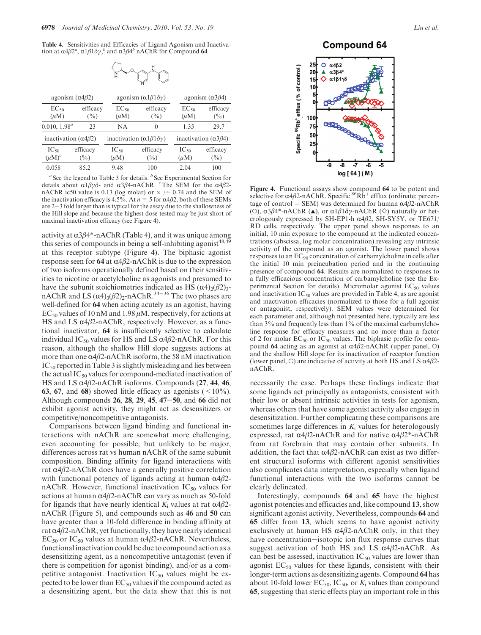Table 4. Sensitivities and Efficacies of Ligand Agonism and Inactivation at  $\alpha 4\beta 2^a$ ,  $\alpha 1\beta 1\delta\gamma$ , and  $\alpha 3\beta 4^b$  nAChR for Compound 64



|                                              | agonism $(\alpha 4\beta 2)$          |                                           | agonism $(\alpha 1\beta 1\delta \gamma)$       | agonism $(\alpha 3\beta 4)$          |                    |  |
|----------------------------------------------|--------------------------------------|-------------------------------------------|------------------------------------------------|--------------------------------------|--------------------|--|
| efficacy<br>$EC_{50}$<br>$(\mu M)$<br>$(\%)$ |                                      | efficacy<br>$EC_{50}$<br>$(\mu M)$<br>(%) |                                                | $EC_{50}$<br>$(\mu M)$               | efficacy<br>$(\%)$ |  |
| $0.010, 1.98^a$                              | 23                                   | NA                                        | $\Omega$                                       | 1.35                                 | 29.7               |  |
|                                              | inactivation ( $\alpha$ 4 $\beta$ 2) |                                           | inactivation $(\alpha 1\beta 1 \delta \gamma)$ | inactivation ( $\alpha$ 3 $\beta$ 4) |                    |  |
| $IC_{50}$<br>$(\mu M)^c$                     | efficacy<br>(%)                      | $IC_{50}$<br>$(\mu M)$                    | efficacy<br>$(\%)$                             | $IC_{50}$<br>$(\mu M)$               | efficacy<br>$(\%)$ |  |
| 0.058                                        | 852                                  | 9.48                                      | 100                                            | 2.04                                 | 100                |  |

See the legend to Table 3 for details.  $b$  See Experimental Section for details about  $\alpha 1\beta \gamma \delta$ - and  $\alpha 3\beta 4$ -nAChR. <sup>c</sup>The SEM for the  $\alpha 4\beta 2$ nAChR ic50 value is 0.13 (log molar) or  $\times$  / $\div$  0.74 and the SEM of the inactivation efficacy is 4.5%. At  $n = 5$  for  $\alpha$ 4 $\beta$ 2, both of these SEMs are  $2-3$  fold larger than is typical for the assay due to the shallowness of the Hill slope and because the highest dose tested may be just short of maximal inactivation efficacy (see Figure 4).

activity at  $\alpha$ 3 $\beta$ 4\*-nAChR (Table 4), and it was unique among this series of compounds in being a self-inhibiting agonist<sup>48,49</sup> at this receptor subtype (Figure 4). The biphasic agonist response seen for 64 at  $α4β2$ -nAChR is due to the expression of two isoforms operationally defined based on their sensitivities to nicotine or acetylcholine as agonists and presumed to have the subunit stoichiometries indicated as HS  $(\alpha 4)_{2}(\beta 2)_{3}$ nAChR and LS  $(\alpha 4)_{3}(\beta 2)_{2}$ -nAChR.<sup>34-36</sup> The two phases are well-defined for 64 when acting acutely as an agonist, having  $EC_{50}$  values of 10 nM and 1.98  $\mu$ M, respectively, for actions at HS and LS  $\alpha$ 4 $\beta$ 2-nAChR, respectively. However, as a functional inactivator, 64 is insufficiently selective to calculate individual IC<sub>50</sub> values for HS and LS  $\alpha$ 4 $\beta$ 2-nAChR. For this reason, although the shallow Hill slope suggests actions at more than one  $\alpha$ 4β2-nAChR isoform, the 58 nM inactivation IC<sub>50</sub> reported in Table 3 is slightly misleading and lies between the actual  $IC_{50}$  values for compound-mediated inactivation of HS and LS  $\alpha$ 4 $\beta$ 2-nAChR isoforms. Compounds (27, 44, 46, **63, 67, and 68)** showed little efficacy as agonists  $($  <  $10\%$ ). Although compounds 26, 28, 29, 45, 47-50, and 66 did not exhibit agonist activity, they might act as desensitizers or competitive/noncompetitive antagonists.

Comparisons between ligand binding and functional interactions with nAChR are somewhat more challenging, even accounting for possible, but unlikely to be major, differences across rat vs human nAChR of the same subunit composition. Binding affinity for ligand interactions with rat  $α4β2-nAChR$  does have a generally positive correlation with functional potency of ligands acting at human  $\alpha$ 4 $\beta$ 2nAChR. However, functional inactivation  $IC_{50}$  values for actions at human  $\alpha$ 4 $\beta$ 2-nAChR can vary as much as 50-fold for ligands that have nearly identical  $K_i$  values at rat  $\alpha$ 4 $\beta$ 2nAChR (Figure 5), and compounds such as 46 and 50 can have greater than a 10-fold difference in binding affinity at rat  $\alpha$ 4β2-nAChR, yet functionally, they have nearly identical EC<sub>50</sub> or IC<sub>50</sub> values at human α4β2-nAChR. Nevertheless, functional inactivation could be due to compound action as a desensitizing agent, as a noncompetitive antagonist (even if there is competition for agonist binding), and/or as a competitive antagonist. Inactivation  $IC_{50}$  values might be expected to be lower than  $EC_{50}$  values if the compound acted as a desensitizing agent, but the data show that this is not **Compound 64** 



Figure 4. Functional assays show compound 64 to be potent and selective for  $\alpha$ 4 $\beta$ 2-nAChR. Specific <sup>86</sup>Rb<sup>+</sup> efflux (ordinate; percentage of control + SEM) was determined for human  $α4β2-nAChR$ (O),  $\alpha$ 3β4\*-nAChR ( $\triangle$ ), or  $\alpha$ 1β1δγ-nAChR ( $\diamond$ ) naturally or heterologously expressed by SH-EP1-h  $\alpha$ 4 $\beta$ 2, SH-SY5Y, or TE671/ RD cells, respectively. The upper panel shows responses to an initial, 10 min exposure to the compound at the indicated concentrations (abscissa, log molar concentration) revealing any intrinsic activity of the compound as an agonist. The lower panel shows responses to an EC90 concentration of carbamylcholine in cells after the initial 10 min preincubation period and in the continuing presence of compound 64. Results are normalized to responses to a fully efficacious concentration of carbamylcholine (see the Experimental Section for details). Micromolar agonist  $EC_{50}$  values and inactivation  $IC_{50}$  values are provided in Table 4, as are agonist and inactivation efficacies (normalized to those for a full agonist or antagonist, respectively). SEM values were determined for each parameter and, although not presented here, typically are less than 3% and frequently less than 1% of the maximal carbamylcholine response for efficacy measures and no more than a factor of 2 for molar  $EC_{50}$  or  $IC_{50}$  values. The biphasic profile for compound 64 acting as an agonist at  $α4β2-nAChR$  (upper panel, O) and the shallow Hill slope for its inactivation of receptor function (lower panel, O) are indicative of activity at both HS and LS  $\alpha$ 4 $\beta$ 2nAChR.

necessarily the case. Perhaps these findings indicate that some ligands act principally as antagonists, consistent with their low or absent intrinsic activities in tests for agonism, whereas others that have some agonist activity also engage in desensitization. Further complicating these comparisons are sometimes large differences in  $K_i$  values for heterologously expressed, rat  $α4β2-nAChR$  and for native  $α4β2*-nAChR$ from rat forebrain that may contain other subunits. In addition, the fact that  $\alpha$ 4 $\beta$ 2-nAChR can exist as two different structural isoforms with different agonist sensitivities also complicates data interpretation, especially when ligand functional interactions with the two isoforms cannot be clearly delineated.

Interestingly, compounds 64 and 65 have the highest agonist potencies and efficacies and, like compound 13, show significant agonist activity. Nevertheless, compounds 64 and 65 differ from 13, which seems to have agonist activity exclusively at human HS  $\alpha$ 4β2-nAChR only, in that they have concentration-isotopic ion flux response curves that suggest activation of both HS and LS  $\alpha$ 4 $\beta$ 2-nAChR. As can best be assessed, inactivation  $IC_{50}$  values are lower than agonist  $EC_{50}$  values for these ligands, consistent with their longer-term actions as desensitizing agents. Compound 64 has about 10-fold lower  $EC_{50}$ ,  $IC_{50}$ , or  $K_i$  values than compound 65, suggesting that steric effects play an important role in this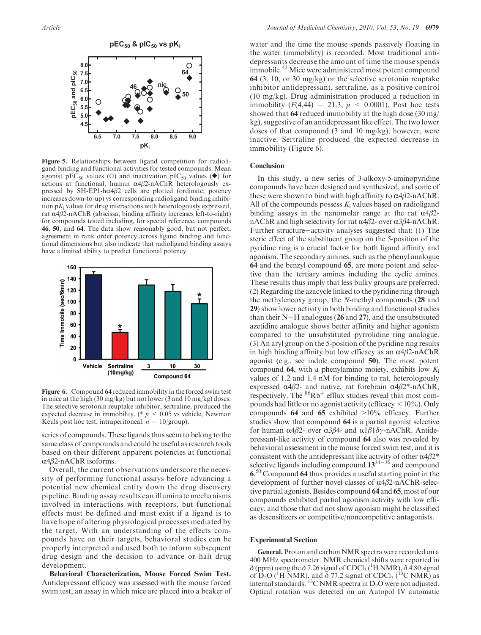

Figure 5. Relationships between ligand competition for radioligand binding and functional activities for tested compounds. Mean agonist pEC<sub>50</sub> values (O) and inactivation pIC<sub>50</sub> values ( $\blacklozenge$ ) for actions at functional, human  $\alpha$ 4β2-nAChR heterologously expressed by SH-EP1-h $\alpha$ 4 $\beta$ 2 cells are plotted (ordinate; potency increases down-to-up) vs corresponding radioligand binding inhibition  $pK_i$  values for drug interactions with heterologously expressed, rat  $\alpha$ 4 $\beta$ 2-nAChR (abscissa, binding affinity increases left-to-right) for compounds tested including, for special reference, compounds 46, 50, and 64. The data show reasonably good, but not perfect, agreement in rank order potency across ligand binding and functional dimensions but also indicate that radioligand binding assays have a limited ability to predict functional potency.



Figure 6. Compound 64 reduced immobility in the forced swim test in mice at the high (30 mg/kg) but not lower (3 and 10 mg/kg) doses. The selective serotonin reuptake inhibitor, sertraline, produced the expected decrease in immobility. (\*  $p \leq 0.05$  vs vehicle, Newman Keuls post hoc test; intraperitoneal.  $n = 10$ /group).

series of compounds. These ligands thus seem to belong to the same class of compounds and could be useful as research tools based on their different apparent potencies at functional  $\alpha$ 4 $\beta$ 2-nAChR isoforms.

Overall, the current observations underscore the necessity of performing functional assays before advancing a potential new chemical entity down the drug discovery pipeline. Binding assay results can illuminate mechanisms involved in interactions with receptors, but functional effects must be defined and must exist if a ligand is to have hope of altering physiological processes mediated by the target. With an understanding of the effects compounds have on their targets, behavioral studies can be properly interpreted and used both to inform subsequent drug design and the decision to advance or halt drug development.

Behavioral Characterization, Mouse Forced Swim Test. Antidepressant efficacy was assessed with the mouse forced swim test, an assay in which mice are placed into a beaker of water and the time the mouse spends passively floating in the water (immobility) is recorded. Most traditional antidepressants decrease the amount of time the mouse spends immobile.<sup>42</sup> Mice were administered most potent compound 64 (3, 10, or 30 mg/kg) or the selective serotonin reuptake inhibitor antidepressant, sertraline, as a positive control (10 mg/kg). Drug administration produced a reduction in immobility  $(F(4, 44) = 21.3, p < 0.0001)$ . Post hoc tests showed that 64 reduced immobility at the high dose (30 mg/ kg), suggestive of an antidepressant like effect. The two lower doses of that compound (3 and 10 mg/kg), however, were inactive. Sertraline produced the expected decrease in immobility (Figure 6).

#### **Conclusion**

In this study, a new series of 3-alkoxy-5-aminopyridine compounds have been designed and synthesized, and some of these were shown to bind with high affinity to  $\alpha$ 4 $\beta$ 2-nAChR. All of the compounds possess  $K_i$  values based on radioligand binding assays in the nanomolar range at the rat  $\alpha$ 4β2nAChR and high selectivity for rat  $\alpha$ 4β2- over  $\alpha$ 3β4-nAChR. Further structure-activity analyses suggested that: (1) The steric effect of the substituent group on the 5-position of the pyridine ring is a crucial factor for both ligand affinity and agonism. The secondary amines, such as the phenyl analogue 64 and the benzyl compound 65, are more potent and selective than the tertiary amines including the cyclic amines. These results thus imply that less bulky groups are preferred. (2) Regarding the azacycle linked to the pyridine ring through the methyleneoxy group, the N-methyl compounds (28 and 29) show lower activity in both binding and functional studies than their  $N-H$  analogues (26 and 27), and the unsubstituted azetidine analogue shows better affinity and higher agonism compared to the unsubstituted pyrrolidine ring analogue. (3) An aryl group on the 5-position of the pyridine ring results in high binding affinity but low efficacy as an  $\alpha$ 4β2-nAChR agonist (e.g., see indole compound 50). The most potent compound 64, with a phenylamino moiety, exhibits low  $K_i$ values of 1.2 and 1.4 nM for binding to rat, heterologously expressed  $α4β2$ - and native, rat forebrain  $α4β2$ <sup>\*</sup>-nAChR, respectively. The  $86Rb^+$  efflux studies reveal that most compounds had little or no agonist activity (efficacy  $\leq 10\%$ ). Only compounds 64 and 65 exhibited >10% efficacy. Further studies show that compound 64 is a partial agonist selective for human  $\alpha$ 4β2- over  $\alpha$ 3β4- and  $\alpha$ 1β1δγ-nAChR. Antidepressant-like activity of compound 64 also was revealed by behavioral assessment in the mouse forced swim test, and it is consistent with the antidepressant like activity of other  $\alpha 4\beta 2^*$ selective ligands including compound  $13^{34-36}$  and compound 6. <sup>50</sup> Compound 64 thus provides a useful starting point in the development of further novel classes of  $\alpha$ 4β2-nAChR-selective partial agonists. Besides compound 64 and 65, most of our compounds exhibited partial agonism activity with low efficacy, and those that did not show agonism might be classified as desensitizers or competitive/noncompetitive antagonists.

#### Experimental Section

General. Proton and carbon NMR spectra were recorded on a 400 MHz spectrometer. NMR chemical shifts were reported in  $\delta$  (ppm) using the  $\delta$  7.26 signal of CDCl<sub>3</sub> (<sup>1</sup>H NMR),  $\delta$  4.80 signal of D<sub>2</sub>O (<sup>1</sup>H NMR), and  $\delta$  77.2 signal of CDCl<sub>3</sub> (<sup>13</sup>C NMR) as internal standards.  ${}^{13}C$  NMR spectra in D<sub>2</sub>O were not adjusted. Optical rotation was detected on an Autopol IV automatic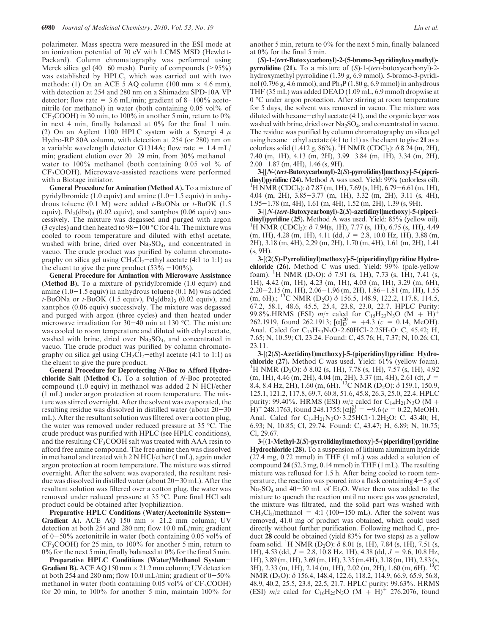polarimeter. Mass spectra were measured in the ESI mode at an ionization potential of 70 eV with LCMS MSD (Hewlett-Packard). Column chromatography was performed using Merck silica gel (40-60 mesh). Purity of compounds ( $\geq$ 95%) was established by HPLC, which was carried out with two methods: (1) On an ACE 5 AQ column (100 mm  $\times$  4.6 mm), with detection at 254 and 280 nm on a Shimadzu SPD-10A VP detector; flow rate =  $3.6$  mL/min; gradient of  $8-100\%$  acetonitrile (or methanol) in water (both containing 0.05 vol% of  $CF<sub>3</sub>COOH$ ) in 30 min, to 100% in another 5 min, return to 0% in next 4 min, finally balanced at 0% for the final 1 min. (2) On an Agilent 1100 HPLC system with a Synergi 4  $\mu$ Hydro-RP 80A column, with detection at 254 (or 280) nm on a variable wavelength detector G1314A; flow rate =  $1.4$  mL/ min; gradient elution over  $20-29$  min, from  $30\%$  methanolwater to 100% methanol (both containing 0.05 vol % of CF3COOH). Microwave-assisted reactions were performed with a Biotage initiator.

General Procedure for Amination (Method A). To a mixture of pyridylbromide (1.0 equiv) and amine  $(1.0-1.5)$  equiv) in anhydrous toluene (0.1 M) were added  $t$ -BuONa or  $t$ -BuOK (1.5 equiv),  $Pd_2(dba)$ <sub>3</sub> (0.02 equiv), and xantphos (0.06 equiv) successively. The mixture was degassed and purged with argon (3 cycles) and then heated to  $98-100\,^{\circ}\text{C}$  for 4 h. The mixture was cooled to room temperature and diluted with ethyl acetate, washed with brine, dried over Na<sub>2</sub>SO<sub>4</sub>, and concentrated in vacuo. The crude product was purified by column chromatography on silica gel using  $CH_2Cl_2$ -ethyl acetate (4:1 to 1:1) as the eluent to give the pure product  $(53\% -100\%)$ .

General Procedure for Amination with Microwave Assistance (Method B). To a mixture of pyridylbromide (1.0 equiv) and amine  $(1.0-1.5 \text{ equiv})$  in anhydrous toluene  $(0.1 \text{ M})$  was added t-BuONa or t-BuOK (1.5 equiv),  $Pd_2(dba)$ <sub>3</sub> (0.02 equiv), and xantphos (0.06 equiv) successively. The mixture was degassed and purged with argon (three cycles) and then heated under microwave irradiation for  $30-40$  min at 130 °C. The mixture was cooled to room temperature and diluted with ethyl acetate, washed with brine, dried over  $Na<sub>2</sub>SO<sub>4</sub>$ , and concentrated in vacuo. The crude product was purified by column chromatography on silica gel using  $CH_2Cl_2$ -ethyl acetate (4:1 to 1:1) as the eluent to give the pure product.

General Procedure for Deprotecting N-Boc to Afford Hydrochloride Salt (Method C). To a solution of N-Boc protected compound (1.0 equiv) in methanol was added 2 N HCl/ether (1 mL) under argon protection at room temperature. The mixture was stirred overnight. After the solvent was evaporated, the resulting residue was dissolved in distilled water (about  $20-30$ mL). After the resultant solution was filtered over a cotton plug, the water was removed under reduced pressure at 35 °C. The crude product was purified with HPLC (see HPLC conditions), and the resulting  $CF_3COOH$  salt was treated with AAA resin to afford free amine compound. The free amine then was dissolved in methanol and treated with 2 N HCl/ether (1 mL), again under argon protection at room temperature. The mixture was stirred overnight. After the solvent was evaporated, the resultant residue was dissolved in distilled water (about 20-30 mL). After the resultant solution was filtered over a cotton plug, the water was removed under reduced pressure at 35 °C. Pure final HCl salt product could be obtained after lyophilization.

Preparative HPLC Conditions (Water/Acetonitrile System-**Gradient A).** ACE AQ 150 mm  $\times$  21.2 mm column; UV detection at both 254 and 280 nm; flow 10.0 mL/min; gradient of  $0-50\%$  acetonitrile in water (both containing 0.05 vol% of CF3COOH) for 25 min, to 100% for another 5 min, return to 0% for the next 5 min, finally balanced at 0% for the final 5 min.

Preparative HPLC Conditions (Water/Methanol System-**Gradient B).** ACE AQ 150 mm  $\times$  21.2 mm column; UV detection at both 254 and 280 nm; flow 10.0 mL/min; gradient of  $0-50\%$ methanol in water (both containing  $0.05$  vol% of  $CF_3COOH$ ) for 20 min, to 100% for another 5 min, maintain 100% for another 5 min, return to 0% for the next 5 min, finally balanced at 0% for the final 5 min.

(S)-1-(tert-Butoxycarbonyl)-2-(5-bromo-3-pyridinyloxymethyl) pyrrolidine  $(21)$ . To a mixture of  $(S)$ -1- $tert$ -butoxycarbonyl)-2hydroxymethyl pyrrolidine (1.39 g, 6.9 mmol), 5-bromo-3-pyridinol (0.796 g, 4.6 mmol), and  $Ph_3P$  (1.80 g, 6.9 mmol) in anhydrous THF (35 mL) was added DEAD (1.09 mL, 6.9 mmol) dropwise at 0 °C under argon protection. After stirring at room temperature for 5 days, the solvent was removed in vacuo. The mixture was diluted with hexane-ethyl acetate (4:1), and the organic layer was washed with brine, dried over  $Na<sub>2</sub>SO<sub>4</sub>$ , and concentrated in vacuo. The residue was purified by column chromatography on silica gel using hexane-ethyl acetate  $(4:1$  to  $1:1)$  as the eluent to give 21 as a colorless solid (1.412 g, 86%). <sup>1</sup>H NMR (CDCl<sub>3</sub>):  $\delta$  8.24 (m, 2H), 7.40 (m, 1H), 4.13 (m, 2H), 3.99-3.84 (m, 1H), 3.34 (m, 2H), 2.00-1.87 (m, 4H), 1.46 (s, 9H).

3-[[N-(tert-Butoxycarbonyl)-2(S)-pyrrolidinyl]methoxy]-5-(piperidinyl)pyridine (24). Method A was used. Yield: 99% (colorless oil). <sup>1</sup>H NMR (CDCl<sub>3</sub>):  $\delta$  7.87 (m, 1H), 7.69 (s, 1H), 6.79–6.61 (m, 1H), 4.04 (m, 2H), 3.85-3.77 (m, 1H), 3.32 (m, 2H), 3.11 (s, 4H), 1.95-1.78 (m, 4H), 1.61 (m, 4H), 1.52 (m, 2H), 1.39 (s, 9H).

3-[[N-(tert-Butoxycarbonyl)-2(S)-azetidinyl]methoxy]-5-(piperidinyl)pyridine (25). Method A was used. Yield: 85% (yellow oil). <sup>1</sup>H NMR (CDCl<sub>3</sub>):  $\delta$  7.94(s, 1H), 7.77 (s, 1H), 6.75 (s, 1H), 4.49  $(m, 1H)$ , 4.28  $(m, 1H)$ , 4.11 (dd,  $J = 2.8$ , 10.0 Hz, 1H), 3.88  $(m,$ 2H), 3.18 (m, 4H), 2,29 (m, 2H), 1.70 (m, 4H), 1.61 (m, 2H), 1.41 (s, 9H).

3-[(2(S)-Pyrrolidinyl)methoxy]-5-(piperidinyl)pyridine Hydrochloride (26). Method C was used. Yield: 99% (pale-yellow foam). <sup>1</sup>H NMR (D<sub>2</sub>O):  $\delta$  7.91 (s, 1H), 7.73 (s, 1H), 7.41 (s, 1H), 4.42 (m, 1H), 4.23 (m, 1H), 4.03 (m, 1H), 3.29 (m, 6H),  $2.20 - 2.15$  (m, 1H),  $2.06 - 1.96$  (m, 2H),  $1.86 - 1.81$  (m, 1H),  $1.55$  $(m, 6H)$ .; <sup>13</sup>C NMR (D<sub>2</sub>O)  $\delta$  156.5, 148.9, 122.2, 117.8, 114.5, 67.2, 58.1, 48.6, 45.5, 25.4, 23.8, 23.0, 22.7. HPLC Purity: 99.8%.HRMS (ESI)  $m/z$  calcd for C<sub>15</sub>H<sub>23</sub>N<sub>3</sub>O (M + H)<sup>+</sup> 262.1919, found 262.1913;  $[\alpha]_D^{20} = +4.3$  ( $c = 0.14$ , MeOH). Anal. Calcd for  $C_{15}H_{23}N_{3}O \cdot 2.60HCl \cdot 2.25H_{2}O$ : C, 45.42; H, 7.65; N, 10.59; Cl, 23.24. Found: C, 45.76; H, 7.37; N, 10.26; Cl, 23.11.

3-[(2(S)-Azetidinyl)methoxy]-5-(piperidinyl)pyridine Hydrochloride (27). Method C was used. Yield: 61% (yellow foam). <sup>1</sup>H NMR (D<sub>2</sub>O):  $\delta$  8.02 (s, 1H), 7.78 (s, 1H), 7.57 (s, 1H), 4.92 (m, 1H), 4.46 (m, 2H), 4.04 (m, 2H), 3.37 (m, 4H), 2.61 (dt,  $J = 8.4$ , 8.4 Hz, 2H), 1.60 (m, 6H). <sup>13</sup>C NMR (D<sub>2</sub>O):  $\delta$  159.1, 150.9, 125.1, 121.2, 117.8, 69.7, 60.8, 51.6, 45.8, 26.3, 25.0, 22.4. HPLC purity: 99.40%. HRMS (ESI)  $m/z$  calcd for C<sub>14</sub>H<sub>21</sub>N<sub>3</sub>O (M +  $H$ <sup>+</sup> 248.1763, found 248.1755; [ $\alpha$ ] $_{\text{D}}^{21}$  = -9.6 ( $c$  = 0.22, MeOH). Anal. Calcd for  $C_{14}H_{21}N_3O \cdot 3.25HCl \cdot 1.2H_2O$ : C, 43.40; H, 6.93; N, 10.85; Cl, 29.74. Found: C, 43.47; H, 6.89; N, 10.75; Cl, 29.67.

3-[(1-Methyl-2(S)-pyrrolidinyl)methoxy]-5-(piperidinyl)pyridine Hydrochloride (28). To a suspension of lithium aluminum hydride (27.4 mg, 0.72 mmol) in THF (1 mL) was added a solution of compound 24 (52.3 mg, 0.14 mmol) in THF (1 mL). The resulting mixture was refluxed for 1.5 h. After being cooled to room temperature, the reaction was poured into a flask containing  $4-5$  g of  $Na<sub>2</sub>SO<sub>4</sub>$  and 40-50 mL of Et<sub>2</sub>O. Water then was added to the mixture to quench the reaction until no more gas was generated, the mixture was filtrated, and the solid part was washed with  $CH_2Cl_2/methanol = 4:1 (100-150 mL)$ . After the solvent was removed, 41.0 mg of product was obtained, which could used directly without further purification. Following method C, product 28 could be obtained (yield 83% for two steps) as a yellow foam solid. <sup>1</sup>H NMR (D<sub>2</sub>O):  $\delta$  8.01 (s, 1H), 7.84 (s, 1H), 7.51 (s, 1H), 4.53 (dd,  $J = 2.8$ , 10.8 Hz, 1H), 4.38 (dd,  $J = 9.6$ , 10.8 Hz, 1H), 3.89 (m, 1H), 3.69 (m, 1H), 3.35 (m,4H), 3.18 (m, 1H), 2.83 (s, 3H), 2.33 (m, 1H), 2.14 (m, 1H), 2.02 (m, 2H), 1.60 (m, 6H). 13C NMR (D<sub>2</sub>O): δ 156.4, 148.4, 122.6, 118.2, 114.9, 66.9, 65.9, 56.8, 48.9, 40.2, 25.5, 23.8, 22.5, 21.7. HPLC purity: 99.63%. HRMS (ESI)  $m/z$  calcd for C<sub>16</sub>H<sub>25</sub>N<sub>3</sub>O (M + H)<sup>+</sup> 276.2076, found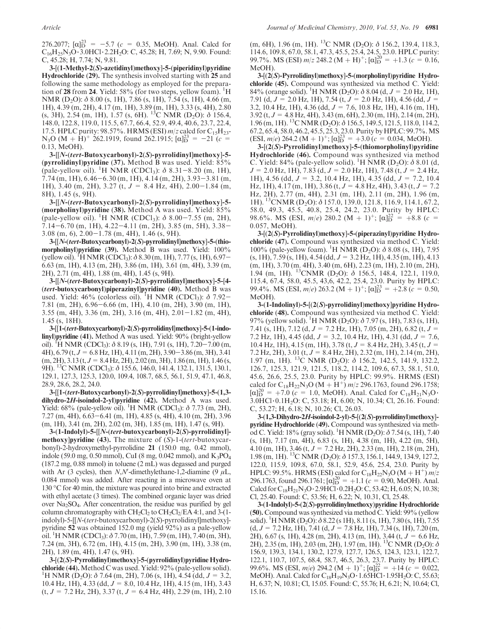276.2077;  $[\alpha]_D^{23} = -5.7$  ( $c = 0.35$ , MeOH). Anal. Calcd for  $C_{16}H_{25}N_3O \cdot 3.0HCl \cdot 2.2H_2O$ : C, 45.28; H, 7.69; N, 9.90. Found: C, 45.28; H, 7.74; N, 9.81.

3-[(1-Methyl-2(S)-azetidinyl)methoxy]-5-(piperidinyl)pyridine Hydrochloride (29). The synthesis involved starting with 25 and following the same methodology as employed for the preparation of  $28$  from 24. Yield: 58% (for two steps, yellow foam). <sup>1</sup>H NMR (D<sub>2</sub>O):  $\delta$  8.00 (s, 1H), 7.86 (s, 1H), 7.54 (s, 1H), 4.66 (m, 1H), 4.39 (m, 2H), 4.17 (m, 1H), 3.89 (m, 1H), 3.33 (s, 4H), 2.80 (s, 3H), 2.54 (m, 1H), 1.57 (s, 6H). <sup>13</sup>C NMR (D<sub>2</sub>O):  $\delta$  156.4, 148.0, 122.8, 119.0, 115.5, 67.7, 66.4, 52.9, 49.4, 40.6, 23.7, 22.4, 17.5. HPLC purity: 98.57%. HRMS (ESI)  $m/z$  calcd for  $C_{15}H_{23}$ - $N_3O (M + H^2)$ <sup>+</sup> 262.1919, found 262.1915;  $[\alpha]_D^{23} = -21(c -$ 0.13, MeOH).

3-[[N-(tert-Butoxycarbonyl)-2(S)-pyrrolidinyl]methoxy]-5- (pyrrolidinyl)pyridine (37). Method B was used. Yield: 85% (pale-yellow oil). <sup>1</sup>H NMR (CDCl<sub>3</sub>):  $\delta$  8.31-8.20 (m, 1H), 7.74 (m, 1H), 6.46-6.30 (m, 1H), 4.14 (m, 2H), 3.93-3.81 (m, 1H), 3.40 (m, 2H), 3.27 (t, J = 8.4 Hz, 4H), 2.00-1.84 (m, 8H), 1.45 (s, 9H).

3-[[N-(tert-Butoxycarbonyl)-2(S)-pyrrolidinyl]methoxy]-5- (morpholinyl)pyridine (38). Method A was used. Yield: 85% (pale-yellow oil). <sup>1</sup>H NMR (CDCl<sub>3</sub>):  $\delta$  8.00–7.55 (m, 2H), 7.14-6.70 (m, 1H), 4.22-4.11 (m, 2H), 3.85 (m, 5H), 3.38- 3.08 (m, 6), 2.00-1.78 (m, 4H), 1.46 (s, 9H).

3-[[N-(tert-Butoxycarbonyl)-2(S)-pyrrolidinyl]methoxy]-5-(thiomorpholinyl)pyridine (39). Method B was used. Yield: 100% (yellow oil). <sup>1</sup>H NMR (CDCl<sub>3</sub>):  $\delta$  8.30 (m, 1H), 7.77 (s, 1H), 6.97– 6.63 (m, 1H), 4.13 (m, 2H), 3.86 (m, 1H), 3.61 (m, 4H), 3.39 (m, 2H), 2.71 (m, 4H), 1.88 (m, 4H), 1.45 (s, 9H).

3-[[N-(tert-Butoxycarbonyl)-2(S)-pyrrolidinyl]methoxy]-5-[4- (tert-butoxycarbonyl)piperazinyl]pyridine (40). Method B was used. Yield:  $46\%$  (colorless oil). <sup>1</sup>H NMR (CDCl<sub>3</sub>):  $\delta$  7.92– 7.81 (m, 2H), 6.96-6.66 (m, 1H), 4.10 (m, 2H), 3.90 (m, 1H), 3.55 (m, 4H), 3.36 (m, 2H), 3.16 (m, 4H), 2.01-1.82 (m, 4H), 1.45 (s, 18H).

3-[[1-(tert-Butoxycarbonyl)-2(S)-pyrrolidinyl]methoxy]-5-(1-indolinyl)pyridine (41). Method A was used. Yield: 90% (bright-yellow oil). <sup>1</sup>H NMR (CDCl<sub>3</sub>):  $\delta$  8.19 (s, 1H), 7.91 (s, 1H), 7.20–7.00 (m, 4H), 6.79 (t,  $J=$  6.8 Hz, 1H), 4.11 (m, 2H), 3.90–3.86 (m, 3H), 3.41  $(m, 2H), 3.13$  (t,  $J = 8.4$  Hz,  $2H), 2.02$  (m,  $3H), 1.86$  (m,  $1H), 1.46$  (s, 9H). <sup>13</sup>C NMR (CDCl<sub>3</sub>): δ 155.6, 146.0, 141.4, 132.1, 131.5, 130.1, 129.1, 127.3, 125.3, 120.0, 109.4, 108.7, 68.5, 56.1, 51.9, 47.1, 46.8, 28.9, 28.6, 28.2, 24.0.

3-[[1-(tert-Butoxycarbonyl)-2(S)-pyrrolidinyl]methoxy]-5-(1,3 dihydro-2H-isoindol-2-yl)pyridine (42). Method A was used. Yield:  $68\%$  (pale-yellow oil). <sup>1</sup>H NMR (CDCl<sub>3</sub>):  $\delta$  7.73 (m, 2H), 7.27 (m, 4H), 6.63-6.41 (m, 1H), 4.85 (s, 4H), 4.10 (m, 2H), 3.96 (m, 1H), 3.41 (m, 2H), 2.02 (m, 3H), 1.85 (m, 1H), 1.47 (s, 9H).

3-(1-Indolyl)-5-[[N-(tert-butoxycarbonyl)-2(S)-pyrrolidinyl] methoxy] pyridine (43). The mixture of  $(S)$ -1-(tert-butoxycarbonyl)-2-hydroxymethyl-pyrrolidine 21 (150.0 mg, 0.42 mmol), indole (59.0 mg, 0.50 mmol), CuI (8 mg, 0.042 mmol), and  $K_3PO_4$ (187.2 mg, 0.88 mmol) in toluene (2 mL) was degassed and purged with Ar (3 cycles), then N,N'-dimethylethane-1,2-diamine (9  $\mu$ L, 0.084 mmol) was added. After reacting in a microwave oven at  $130 \degree$ C for 40 min, the mixture was poured into brine and extracted with ethyl acetate (3 times). The combined organic layer was dried over Na2SO4. After concentration, the residue was purified by gel column chromatography with  $CH_2Cl_2$  to  $CH_2Cl_2/EA$  4:1, and 3-(1indolyl)-5-[[N-(tert-butoxycarbonyl)-2(S)-pyrrolidinyl]methoxy] pyridine 52 was obtained 152.0 mg (yield 92%) as a pale-yellow oil. <sup>1</sup>H NMR (CDCl<sub>3</sub>):  $\delta$  7.70 (m, 1H), 7.59 (m, 1H), 7.40 (m, 3H), 7.24 (m, 3H), 6.72 (m, 1H), 4.15 (m, 2H), 3.90 (m, 1H), 3.38 (m, 2H), 1.89 (m, 4H), 1.47 (s, 9H).

3-[(2(S)-Pyrrolidinyl)methoxy]-5-(pyrrolidinyl)pyridine Hydrochloride (44). Method C was used. Yield: 92% (pale-yellow solid). <sup>1</sup>H NMR (D<sub>2</sub>O):  $\delta$  7.64 (m, 2H), 7.06 (s, 1H), 4.54 (dd,  $J = 3.2$ , 10.4 Hz, 1H), 4.33 (dd,  $J = 8.0$ , 10.4 Hz, 1H), 4.15 (m, 1H), 3.43  $(t, J = 7.2 \text{ Hz}, 2\text{H}), 3.37 (t, J = 6.4 \text{ Hz}, 4\text{H}), 2.29 (m, 1H), 2.10$  (m, 6H), 1.96 (m, 1H). <sup>13</sup>C NMR (D<sub>2</sub>O):  $\delta$  156.2, 139.4, 118.3, 114.6, 109.8, 67.0, 58.1, 47.3, 45.5, 25.4, 24.5, 23.0. HPLC purity: 99.7%. MS (ESI)  $m/z$  248.2 (M + H)<sup>+</sup>; [ $\alpha$ ] $_{\text{D}}^{20}$  = +1.3 ( $c$  = 0.16, MeOH).

3-[(2(S)-Pyrrolidinyl)methoxy]-5-(morpholinyl)pyridine Hydrochloride (45). Compound was synthesized via method C. Yield: 84% (orange solid). <sup>1</sup>H NMR (D<sub>2</sub>O):  $\delta$  8.04 (d, J = 2.0 Hz, 1H), 7.91 (d,  $J = 2.0$  Hz, 1H), 7.54 (t,  $J = 2.0$  Hz, 1H), 4.56 (dd,  $J =$ 3.2, 10.4 Hz, 1H), 4.36 (dd,  $J = 7.6$ , 10.8 Hz, 1H), 4.16 (m, 1H),  $3.92$  (t,  $J = 4.8$  Hz, 4H), 3.43 (m, 6H), 2.30 (m, 1H), 2.14 (m, 2H),  $1.96$  (m, 1H). <sup>13</sup>C NMR (D<sub>2</sub>O):  $\delta$  156.5, 149.5, 121.5, 118.0, 114.2, 67.2, 65.4, 58.0, 46.2, 45.5, 25.3, 23.0. Purity by HPLC: 99.7%.MS  $(ESI, m/e)$  264.2  $(M + 1)^{+}$ ;  $[\alpha]_D^{23} = +3.0$  (c = 0.034, MeOH).

3-[(2(S)-Pyrrolidinyl)methoxy]-5-(thiomorpholinyl)pyridine Hydrochloride (46). Compound was synthesized via method C. Yield: 84% (pale-yellow solid). <sup>1</sup>H NMR (D<sub>2</sub>O):  $\delta$  8.01 (d,  $J = 2.0$  Hz, 1H), 7.83 (d,  $J = 2.0$  Hz, 1H), 7.48 (t,  $J = 2.4$  Hz, 1H), 4.56 (dd,  $J = 3.2$ , 10.4 Hz, 1H), 4.35 (dd,  $J = 7.2$ , 10.4 Hz, 1H), 4.17 (m, 1H), 3.86 (t,  $J = 4.8$  Hz, 4H), 3.43 (t,  $J = 7.2$ Hz, 2H), 2.77 (m, 4H), 2.31 (m, 1H), 2.11 (m, 2H), 1.96 (m, 1H). 13CNMR (D2O): δ 157.0, 139.0, 121.8, 116.9, 114.1, 67.2, 58.0, 49.3, 45.5, 40.8, 25.4, 24.2, 23.0. Purity by HPLC: 98.6%. MS (ESI,  $m/e$ ) 280.2 (M + 1)<sup>+</sup>; [ $\alpha$ ] $^{22}$  = +8.8 (c = 0.057, MeOH).

3-[(2(S)-Pyrrolidinyl)methoxy]-5-(piperazinyl)pyridine Hydrochloride (47). Compound was synthesized via method C. Yield: 100% (pale-yellow foam). <sup>1</sup>H NMR (D<sub>2</sub>O): δ 8.08 (s, 1H), 7.95  $(s, 1H), 7.59 (s, 1H), 4.54 (dd, J = 3.2 Hz, 1H), 4.35 (m, 1H), 4.13$ (m, 1H), 3.70 (m. 4H), 3.40 (m, 6H), 2.23 (m, 1H), 2.10 (m, 2H), 1.94 (m, 1H). <sup>13</sup>CNMR (D<sub>2</sub>O):  $\delta$  156.5, 148.4, 122.1, 119.0, 115.4, 67.4, 58.0, 45.5, 43,6, 42.2, 25.4, 23.0. Purity by HPLC: 99.4%. MS (ESI,  $m/e$ ) 263.2 (M + 1)<sup>+</sup>; [ $\alpha$ ]<sup>23</sup> = +2.8 ( $c = 0.50$ , MeOH).

3-(1-Indolinyl)-5-[(2(S)-pyrrolidinyl)methoxy]pyridine Hydrochloride (48). Compound was synthesized via method C. Yield: 97% (yellow solid). <sup>1</sup>H NMR (D<sub>2</sub>O):  $\delta$  7.97 (s, 1H), 7.83 (s, 1H), 7.41 (s, 1H), 7.12 (d,  $J = 7.2$  Hz, 1H), 7.05 (m, 2H), 6.82 (t,  $J =$ 7.2 Hz, 1H), 4.45 (dd,  $J = 3.2$ , 10.4 Hz, 1H), 4.31 (dd,  $J = 7.6$ , 10.4 Hz, 1H), 4.15 (m, 1H), 3.78 (t,  $J = 8.4$  Hz, 2H), 3.45 (t,  $J =$ 7.2 Hz, 2H), 3.01 (t,  $J = 8.4$  Hz, 2H), 2.32 (m, 1H), 2.14 (m, 2H), 1.97 (m, 1H). 13C NMR (D2O): δ 156.2, 142.5, 141.9, 132.2, 126.7, 125.3, 121.9, 121.5, 118.2, 114.2, 109.6, 67.3, 58.1, 51.0, 45.6, 26.6, 25.5, 23.0. Purity by HPLC: 99.9%. HRMS (ESI) calcd for C<sub>18</sub>H<sub>22</sub>N<sub>3</sub>O (M + H<sup>+</sup>) m/z 296.1763, found 296.1758;  $[\alpha]_D^{20} = +7.0$  (c = 1.0, MeOH). Anal. Calcd for  $C_{18}H_{21}N_3O$ . 3.0 HCl · 0.1 H<sub>2</sub>O: C, 53.18; H, 6.00; N, 10.34; Cl, 26.16. Found: C, 53.27; H, 6.18; N, 10.26; Cl, 26.03.

3-(1,3-Dihydro-2H-isoindol-2-yl)-5-[(2(S)-pyrrolidinyl)methoxy] pyridine Hydrochloride (49). Compound was synthesized via method C. Yield: 18% (gray solid). <sup>1</sup>H NMR (D<sub>2</sub>O):  $\delta$  7.54 (s, 1H), 7.40 (s, 1H), 7.17 (m, 4H), 6.83 (s, 1H), 4.38 (m, 1H), 4.22 (m, 5H), 4.10 (m, 1H), 3.46 (t,  $J = 7.2$  Hz, 2H), 2.33 (m, 1H), 2.18 (m, 2H), 1.98 (m, 1H). 13C NMR (D2O): δ 157.3, 156.1, 144.9, 134.9, 127.2, 122.0, 115.9, 109.8, 67.0, 58.1, 52.9, 45.6, 25.4, 23.0. Purity by HPLC: 99.5%. HRMS (ESI) calcd for  $C_{18}H_{22}N_3O(M + H^+)$  m/z 296.1763, found 296.1761;  $[\alpha]_D^{20} = +1.1$  ( $c = 0.90$ , MeOH). Anal. Calcd for  $C_{18}H_{21}N_3O \cdot 2.9HCl \cdot 0.2H_2O$ : C, 53.42; H, 6.05; N, 10.38; Cl, 25.40. Found: C, 53.56; H, 6.22; N, 10.31, Cl, 25.48.

3-(1-Indolyl)-5-(2(S)-pyrrolidinylmethoxy)pyridine Hydrochloride (50). Compound was synthesized via method C. Yield: 99% (yellow solid). <sup>1</sup>H NMR (D<sub>2</sub>O):  $\delta$  8.22 (s 1H), 8.11 (s, 1H), 7.80 (s, 1H), 7.55  $(d, J = 7.2 \text{ Hz}, 1\text{ H}), 7.41 (d, J = 7.8 \text{ Hz}, 1\text{ H}), 7.34 (s, 1\text{ H}), 7.20 (m,$ 2H), 6.67 (s, 1H), 4.28 (m, 2H), 4.13 (m, 1H), 3.44 (t, J = 6.6 Hz, 2H), 2.35 (m, 1H), 2.03 (m, 2H), 1.97 (m, 1H). <sup>13</sup>C NMR (D<sub>2</sub>O):  $\delta$ 156.9, 139.3, 134.1, 130.2, 127.9, 127.7, 126.5, 124.3, 123.1, 122.7, 122.1, 110.7, 107.5, 68.4, 58.7, 46.5, 26.3, 23.7. Purity by HPLC: 99.6%. MS (ESI,  $m/e$ ) 294.2 (M + 1)<sup>+</sup>; [ $\alpha$ ] $^{22}$  = +14 (c = 0.022, MeOH). Anal. Calcd for  $C_{18}H_{19}N_3O \cdot 1.65HCl \cdot 1.95H_2O$ : C, 55.63; H, 6.37; N, 10.81; Cl, 15.05. Found: C, 55.76; H, 6.21; N, 10.64; Cl, 15.16.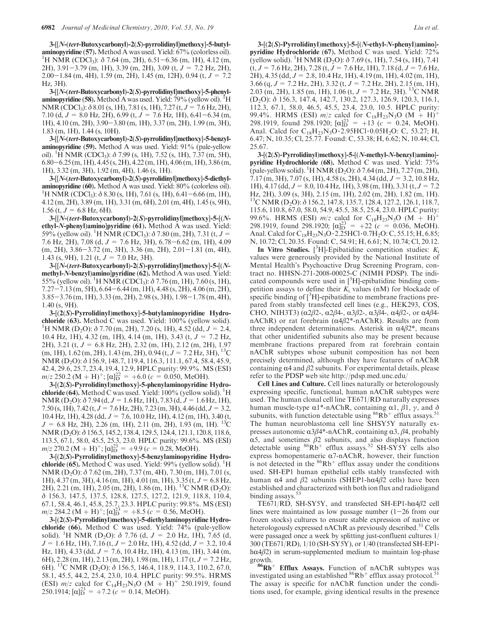3-[[N-(tert-Butoxycarbonyl)-2(S)-pyrrolidinyl]methoxy]-5-butylaminopyridine  $(57)$ . Method A was used. Yield:  $67\%$  (colorless oil). <sup>1</sup>H NMR (CDCl<sub>3</sub>):  $\delta$  7.64 (m, 2H), 6.51–6.36 (m, 1H), 4.12 (m, 2H), 3.91-3.79 (m, 1H), 3.39 (m, 2H), 3.09 (t, J = 7.2 Hz, 2H),  $2.00-1.84$  (m, 4H), 1.59 (m, 2H), 1.45 (m, 12H), 0.94 (t,  $J = 7.2$ Hz, 3H).

3-[[N-(tert-Butoxycarbonyl)-2(S)-pyrrolidinyl]methoxy]-5-phenylaminopyridine (58). Method A was used. Yield:  $79\%$  (yellow oil).  ${}^{1}$ H NMR (CDCl<sub>3</sub>):  $\delta$  8.01 (s, 1H), 7.81 (s, 1H), 7.27 (t,  $J = 7.6$  Hz, 2H), 7.10 (d,  $J = 8.0$  Hz, 2H), 6.99 (t,  $J = 7.6$  Hz, 1H), 6.41–6.34 (m, 1H), 4.10 (m, 2H), 3.90-3.80 (m, 1H), 3.37 (m, 2H), 1.99 (m, 3H), 1.83 (m, 1H), 1.44 (s, 10H).

3-[[N-(tert-Butoxycarbonyl)-2(S)-pyrrolidinyl]methoxy]-5-benzylaminopyridine (59). Method A was used. Yield: 91% (pale-yellow oil). <sup>1</sup>H NMR (CDCl<sub>3</sub>):  $\delta$  7.99 (s, 1H), 7.52 (s, 1H), 7.37 (m, 5H), 6.80-6.25 (m, 1H), 4.45 (s, 2H), 4.22 (m, 1H), 4.06 (m, 1H), 3.86 (m, 1H), 3.32 (m, 3H), 1.92 (m, 4H), 1.46 (s, 1H).

3-[[N-(tert-Butoxycarbonyl)-2(S)-pyrrolidinyl]methoxy]-5-diethylaminopyridine (60). Method A was used. Yield: 80% (colorless oil). <sup>1</sup>H NMR (CDCl<sub>3</sub>):  $\delta$  8.30 (s, 1H), 7.61 (s, 1H), 6.41–6.66 (m, 1H), 4.12 (m, 2H), 3.89 (m, 1H), 3.31 (m, 6H), 2.01 (m, 4H), 1.45 (s, 9H), 1.56 (t,  $J = 6.8$  Hz, 6H).

3-[[N-(tert-Butoxycarbonyl)-2(S)-pyrrolidinyl]methoxy]-5-[(Nethyl-N-phenyl)amino]pyridine (61). Method A was used. Yield: 59% (yellow oil). <sup>1</sup>H NMR (CDCl<sub>3</sub>):  $\delta$  7.80 (m, 2H), 7.31 (t, J = 7.6 Hz, 2H), 7.08 (d, J = 7.6 Hz, 3H), 6.78-6.62 (m, 1H), 4.09 (m, 2H), 3.86-3.72 (m, 3H), 3.36 (m, 2H), 2.01-1.81 (m, 4H), 1.43 (s, 9H), 1.21 (t,  $J = 7.0$  Hz, 3H).

3-[[N-(tert-Butoxycarbonyl)-2(S)-pyrrolidinyl]methoxy]-5-[(Nmethyl-N-benzyl)amino]pyridine (62). Method A was used. Yield: 55% (yellow oil). <sup>1</sup>H NMR (CDCl<sub>3</sub>):  $\delta$  7.76 (m, 1H), 7.60 (s, 1H), 7.27-7.13 (m, 5H), 6.64-6.44 (m, 1H), 4.48 (s, 2H), 4.06 (m, 2H), 3.85-3.76 (m, 1H), 3.33 (m, 2H), 2.98 (s, 3H), 1.98-1.78 (m, 4H), 1.40 (s, 9H).

3-[(2(S)-Pyrrolidinyl)methoxy]-5-butylaminopyridine Hydro**chloride** (63). Method C was used. Yield:  $100\%$  (yellow solid). <sup>1</sup>H NMR (D<sub>2</sub>O):  $\delta$  7.70 (m, 2H), 7.20 (s, 1H), 4.52 (dd,  $J = 2.4$ , 10.4 Hz, 1H), 4.32 (m, 1H), 4.14 (m, 1H), 3.43 (t, J = 7.2 Hz, 2H), 3.21 (t,  $J = 6.8$  Hz, 2H), 2.32 (m, 1H), 2.12 (m, 2H), 1.97  $(m, 1H), 1.62$   $(m, 2H), 1.43$   $(m, 2H), 0.94$   $(t, J = 7.2$  Hz, 3H $),$ <sup>13</sup>C NMR (D2O): δ 156.9, 148.7, 119.4, 116.3, 111.1, 67.4, 58.4, 45.9, 42.4, 29.6, 25.7, 23.4, 19.4, 12.9, HPLC purity: 99.9%. MS (ESI)  $m/z$  250.2 (M + H)<sup>+</sup>; [ $\alpha$ ] $^{22}$  = +6.0 (c = 0.050, MeOH).

3-[(2(S)-Pyrrolidinyl)methoxy]-5-phenylaminopyridine Hydrochloride (64). Method C was used. Yield:  $100\%$  (yellow solid). <sup>1</sup>H NMR (D<sub>2</sub>O):  $\delta$  7.94 (d, J = 1.6 Hz, 1H), 7.83 (d, J = 1.6 Hz, 1H), 7.50 (s, 1H), 7.42 (t,  $J = 7.6$  Hz, 2H), 7.23 (m, 3H), 4.46 (dd,  $J = 3.2$ , 10.4 Hz, 1H), 4.28 (dd,  $J = 7.6$ , 10.0 Hz, 1H), 4.12 (m, 1H), 3.40 (t,  $J = 6.8$  Hz, 2H), 2.26 (m, 1H), 2.11 (m, 2H), 1.93 (m, 1H). <sup>13</sup>C NMR (D<sub>2</sub>O): δ 156.5, 145.2, 138.4, 129.5, 124.4, 121.1, 120.8, 118.6, 113.5, 67.1, 58.0, 45.5, 25.3, 23.0. HPLC purity: 99.6%. MS (ESI)  $m/z$  270.2 (M + H)<sup>+</sup>; [ $\alpha$ ] $^{23}_{D}$  = +9.9 (c = 0.28, MeOH).

3-[(2(S)-Pyrrolidinyl)methoxy]-5-benzylaminopyridine Hydrochloride  $(65)$ . Method  $\acute{C}$  was used. Yield: 99% (yellow solid). <sup>1</sup>H NMR (D<sub>2</sub>O): δ 7.62 (m, 2H), 7.37 (m, 4H), 7.30 (m, 1H), 7.01 (s, 1H),  $4.37 \, \text{(m, 3H)}$ ,  $4.16 \, \text{(m, 1H)}$ ,  $4.01 \, \text{(m, 1H)}$ ,  $3.35 \, \text{(t, } J = 6.8 \, \text{Hz}$ ,  $2H$ ),  $2.21$  (m,  $1H$ ),  $2.05$  (m,  $2H$ ),  $1.86$  (m,  $1H$ ). <sup>13</sup>C NMR (D<sub>2</sub>O): δ 156.3, 147.5, 137.5, 128.8, 127.5, 127.2, 121.9, 118.8, 110.4, 67.1, 58.4, 46.1, 45.8, 25.7, 23.3. HPLC purity: 99.8%. MS (ESI)  $m/z$  284.2 (M + H)<sup>+</sup>; [ $\alpha$ ] $^{23}_{D}$  = +8.5 (c = 0.56, MeOH).

3-[(2(S)-Pyrrolidinyl)methoxy]-5-diethylaminopyridine Hydrochloride (66). Method C was used. Yield: 74% (pale-yellow solid). <sup>1</sup>H NMR (D<sub>2</sub>O):  $\delta$  7.76 (d, J = 2.0 Hz, 1H), 7.65 (d,  $J = 1.6$  Hz, 1H), 7.16 (t,  $J = 2.0$  Hz, 1H), 4.52 (dd,  $J = 3.2$ , 10.4 Hz, 1H), 4.33 (dd,  $J = 7.6$ , 10.4 Hz, 1H), 4.13 (m, 1H), 3.44 (m, 6H), 2.28 (m, 1H), 2.13 (m, 2H), 1.98 (m, 1H), 1.17 (t, J= 7.2 Hz, 6H). <sup>13</sup>C NMR (D<sub>2</sub>O):  $\delta$  156.5, 146.4, 118.9, 114.3, 110.2, 67.0, 58.1, 45.5, 44.2, 25.4, 23.0, 10.4. HPLC purity: 99.5%. HRMS (ESI)  $m/z$  calcd for C<sub>14</sub>H<sub>23</sub>N<sub>3</sub>O (M + H)<sup>+</sup> 250.1919, found 250.1914;  $[\alpha]_D^{23} = +7.2$  (c = 0.14, MeOH).

3-[(2(S)-Pyrrolidinyl)methoxy]-5-[(N-ethyl-N-phenyl)amino] pyridine Hydrochloride (67). Method C was used. Yield: 72% (yellow solid). <sup>1</sup>H NMR (D<sub>2</sub>O):  $\delta$  7.69 (s, 1H), 7.54 (s, 1H), 7.41  $(t, J = 7.6 \text{ Hz}, 2\text{H})$ ,  $7.28$   $(t, J = 7.6 \text{ Hz}, 1\text{H})$ ,  $7.18$   $(d, J = 7.6 \text{ Hz},$ 2H), 4.35 (dd, J = 2.8, 10.4 Hz, 1H), 4.19 (m, 1H), 4.02 (m, 1H), 3.66 (q,  $J = 7.2$  Hz, 2H), 3.32 (t,  $J = 7.2$  Hz, 2H), 2.15 (m, 1H), 2.03 (m, 2H), 1.85 (m, 1H), 1.06 (t,  $J = 7.2$  Hz, 3H). <sup>13</sup>C NMR (D2O): δ 156.3, 147.4, 142.7, 130.2, 127.3, 126.9, 120.3, 116.1, 112.3, 67.1, 58.0, 46.5, 45.5, 23.4, 23.0, 10.5. HPLC purity: 99.4%. HRMS (ESI)  $m/z$  calcd for C<sub>18</sub>H<sub>23</sub>N<sub>3</sub>O (M + H)<sup>+</sup> 298.1919, found 298.1920;  $\left[\alpha\right]_{23}^{23} = +13 \left(c - 0.24, \text{ MeOH}\right)$ Anal. Calcd for  $C_{18}H_{23}N_3O \cdot 2.95HCl \cdot 0.05H_2O$ : C, 53.27; H, 6.47; N, 10.35; Cl, 25.77. Found: C, 53.38; H, 6.62; N, 10.44; Cl, 25.67.

3-[(2(S)-Pyrrolidinyl)methoxy]-5-[(N-methyl-N-benzyl)amino] pyridine Hydrochloride (68). Method C was used. Yield: 73% (pale-yellow solid). <sup>1</sup>H NMR (D<sub>2</sub>O):  $\delta$  7.64 (m, 2H), 7.27 (m, 2H), 7.17 (m, 3H), 7.07 (s, 1H), 4.58 (s, 2H), 4.34 (dd, J = 3.2, 10.8 Hz, 1H),  $4.17$  (dd,  $J = 8.0$ , 10.4 Hz, 1H), 3.98 (m, 1H), 3.31 (t,  $J = 7.2$ Hz, 2H), 3.09 (s, 3H), 2.15 (m, 1H), 2.02 (m, 2H), 1.82 (m, 1H). <sup>13</sup>C NMR (D<sub>2</sub>O): δ 156.2, 147.8, 135.7, 128.4, 127.2, 126.1, 118.7, 115.6, 110.8, 67.0, 58.0, 54.9, 45.5, 38.5, 25.4, 23.0. HPLC purity: 99.6%. HRMS (ESI)  $m/z$  calcd for C<sub>18</sub>H<sub>23</sub>N<sub>3</sub>O (M + H)<sup>+</sup> 298.1919, found 298.1920;  $[\alpha]_D^{23} = +22$  ( $c = 0.036$ , MeOH). Anal. Calcd for  $C_{18}H_{23}N_3O \cdot 2.25HCl \cdot 0.7H_2O$ : C, 55.15; H, 6.85; N, 10.72; Cl, 20.35. Found: C, 54.91; H, 6.61; N, 10.74; Cl, 20.12.

In Vitro Studies. [ ${}^{3}$ H]-Epibatidine competition studies:  $K_i$ values were generously provided by the National Institute of Mental Health's Psychoactive Drug Screening Program, contract no. HHSN-271-2008-00025-C (NIMH PDSP). The indicated compounds were used in  $[^{3}H]$ -epibatidine binding competition assays to define their  $K_i$  values (nM) for blockade of specific binding of [<sup>3</sup>H]-epibatidine to membrane fractions prepared from stably transfected cell lines (e.g., HEK293, COS, CHO, NIH3T3) ( $\alpha$ 2 $\beta$ 2-,  $\alpha$ 2 $\beta$ 4-,  $\alpha$ 3 $\beta$ 2-,  $\alpha$ 3 $\beta$ 4-,  $\alpha$ 4 $\beta$ 2-, or  $\alpha$ 4 $\beta$ 4nAChR) or rat forebrain ( $\alpha$ 4 $\beta$ 2\*-nAChR). Results are from three independent determinations. Asterisk in  $\alpha$ 4 $\beta$ 2\*, means that other unidentified subunits also may be present because membrane fractions prepared from rat forebrain contain nAChR subtypes whose subunit composition has not been precisely determined, although they have features of nAChR containing  $\alpha$ 4 and  $\beta$ 2 subunits. For experimental details, please refer to the PDSP web site http://pdsp.med.unc.edu/

Cell Lines and Culture. Cell lines naturally or heterologously expressing specific, functional, human nAChR subtypes were used. The human clonal cell line TE671/RD naturally expresses human muscle-type  $\alpha$ 1\*-nAChR, containing  $\alpha$ 1, β1, γ, and δ subunits, with function detectable using  ${}^{86}Rb^+$  efflux assays.<sup>51</sup> The human neuroblastoma cell line SHSY5Y naturally expresses autonomic  $\alpha$ 3β4\*-nAChR, containing  $\alpha$ 3, β4, probably α5, and sometimes  $β2$  subunits, and also displays function detectable using  ${}^{86}Rb$ <sup>+</sup> efflux assays.<sup>52</sup> SH-SY5Y cells also express homopentameric  $\alpha$ 7-nAChR, however, their function is not detected in the  ${}^{86}Rb^+$  efflux assay under the conditions used. SH-EP1 human epithelial cells stably transfected with human α4 and β2 subunits (SHEP1-hα4β2 cells) have been established and characterized with both ion flux and radioligand binding assays.<sup>5</sup>

TE671/RD, SH-SY5Y, and transfected SH-EP1-hα4β2 cell lines were maintained as low passage number  $(1-26$  from our frozen stocks) cultures to ensure stable expression of native or heterologously expressed nAChR as previously described.<sup>51</sup> Cells were passaged once a week by splitting just-confluent cultures 1/ 300 (TE671/RD), 1/10 (SH-SY5Y), or 1/40 (transfected SH-EP1 h $\alpha$ 4 $\beta$ 2) in serum-supplemented medium to maintain log-phase

growth.<br> $86Rb^+$  Efflux Assays. Function of nAChR subtypes was investigated using an established  ${}^{86}Rb^+$  efflux assay protocol.<sup>51</sup> The assay is specific for nAChR function under the conditions used, for example, giving identical results in the presence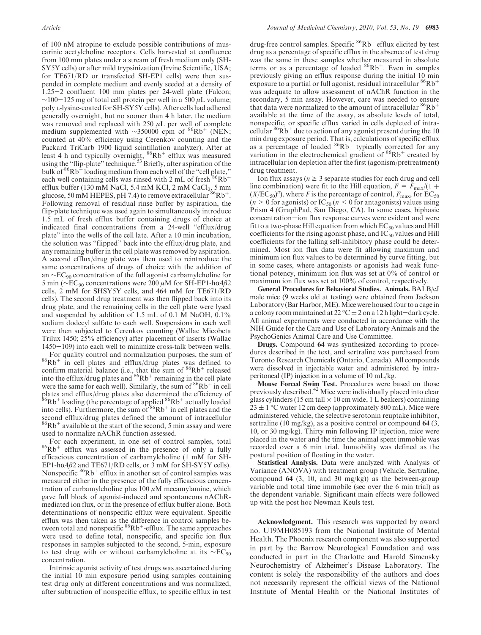of 100 nM atropine to exclude possible contributions of muscarinic acetylcholine receptors. Cells harvested at confluence from 100 mm plates under a stream of fresh medium only (SH-SY5Y cells) or after mild trypsinization (Irvine Scientific, USA; for TE671/RD or transfected SH-EP1 cells) were then suspended in complete medium and evenly seeded at a density of 1.25-2 confluent 100 mm plates per 24-well plate (Falcon;  $\sim$ 100-125 mg of total cell protein per well in a 500  $\mu$ L volume; poly L-lysine-coated for SH-SY5Y cells). After cells had adhered generally overnight, but no sooner than 4 h later, the medium was removed and replaced with  $250 \mu L$  per well of complete medium supplemented with ~350000 cpm of  ${}^{86}Rb$ <sup>+</sup> (NEN; counted at 40% efficiency using Cerenkov counting and the Packard TriCarb 1900 liquid scintillation analyzer). After at least 4 h and typically overnight,  $86Rb<sup>+</sup>$  efflux was measured using the "flip-plate" technique.<sup>53</sup> Briefly, after aspiration of the bulk of <sup>86</sup>Rb<sup>+</sup> loading medium from each well of the "cell plate," each well containing cells was rinsed with 2 mL of fresh  $86Rb^+$ efflux buffer (130 mM NaCl, 5.4 mM KCl, 2 mM CaCl<sub>2</sub>, 5 mm glucose, 50 mM HEPES, pH 7.4) to remove extracellular  ${}^{86}Rb^{+}$ . Following removal of residual rinse buffer by aspiration, the flip-plate technique was used again to simultaneously introduce 1.5 mL of fresh efflux buffer containing drugs of choice at indicated final concentrations from a 24-well "efflux/drug plate" into the wells of the cell late. After a 10 min incubation, the solution was "flipped" back into the efflux/drug plate, and any remaining buffer in the cell plate was removed by aspiration. A second efflux/drug plate was then used to reintroduce the same concentrations of drugs of choice with the addition of an ∼EC90 concentration of the full agonist carbamylcholine for 5 min ( $\sim$ EC<sub>90</sub> concentrations were 200 μM for SH-EP1-hα4β2 cells, 2 mM for SHSY5Y cells, and 464 mM for TE671/RD cells). The second drug treatment was then flipped back into its drug plate, and the remaining cells in the cell plate were lysed and suspended by addition of 1.5 mL of 0.1 M NaOH, 0.1% sodium dodecyl sulfate to each well. Suspensions in each well were then subjected to Cerenkov counting (Wallac Micobeta Trilux 1450; 25% efficiency) after placement of inserts (Wallac 1450-109) into each well to minimize cross-talk between wells.

For quality control and normalization purposes, the sum of  ${}^{86}Rb^+$  in cell plates and efflux/drug plates was defined to confirm material balance (i.e., that the sum of  $86Rb^+$  released into the efflux/drug plates and  ${}^{86}Rb^+$  remaining in the cell plate were the same for each well). Similarly, the sum of  $86Rb^+$  in cell plates and efflux/drug plates also determined the efficiency of  ${}^{86}Rb^+$  loading (the percentage of applied  ${}^{86}Rb^+$  actually loaded into cells). Furthermore, the sum of  $86Rb^+$  in cell plates and the second efflux/drug plates defined the amount of intracellular  $86Rb<sup>+</sup>$  available at the start of the second, 5 min assay and were used to normalize nAChR function assessed.

For each experiment, in one set of control samples, total  ${}^{86}Rb^+$  efflux was assessed in the presence of only a fully efficacious concentration of carbamylcholine (1 mM for SH-EP1-h $\alpha$ 4 $\beta$ 2 and TE671/RD cells, or 3 mM for SH-SY5Y cells). Nonspecific  ${}^{86}Rb^+$  efflux in another set of control samples was measured either in the presence of the fully efficacious concentration of carbamylcholine plus  $100 \mu$ M mecamylamine, which gave full block of agonist-induced and spontaneous nAChRmediated ion flux, or in the presence of efflux buffer alone. Both determinations of nonspecific efflux were equivalent. Specific efflux was then taken as the difference in control samples between total and nonspecific  ${}^{86}Rb^+$ -efflux. The same approaches were used to define total, nonspecific, and specific ion flux responses in samples subjected to the second, 5-min, exposure to test drug with or without carbamylcholine at its  $\sim$ EC<sub>90</sub> concentration.

Intrinsic agonist activity of test drugs was ascertained during the initial 10 min exposure period using samples containing test drug only at different concentrations and was normalized, after subtraction of nonspecific efflux, to specific efflux in test

drug-free control samples. Specific  ${}^{86}Rb^+$  efflux elicited by test drug as a percentage of specific efflux in the absence of test drug was the same in these samples whether measured in absolute terms or as a percentage of loaded  $86Rb^+$ . Even in samples previously giving an efflux response during the initial 10 min exposure to a partial or full agonist, residual intracellular  ${}^{86}Rb^+$ was adequate to allow assessment of nAChR function in the secondary, 5 min assay. However, care was needed to ensure that data were normalized to the amount of intracellular  ${}^{86}Rb^+$ available at the time of the assay, as absolute levels of total, nonspecific, or specific efflux varied in cells depleted of intracellular  ${}^{86}Rb^+$  due to action of any agonist present during the 10 min drug exposure period. That is, calculations of specific efflux as a percentage of loaded  $86Rb^+$  typically corrected for any variation in the electrochemical gradient of  $86Rb<sup>+</sup>$  created by intracellular ion depletion after the first (agonism/pretreatment) drug treatment.

Ion flux assays ( $n \geq 3$  separate studies for each drug and cell line combination) were fit to the Hill equation,  $F = F_{\text{max}}/(1 +$  $(X/EC_{50})^n$ , where F is the percentage of control,  $F_{\text{max}}$ , for  $EC_{50}$  $(n > 0$  for agonists) or IC<sub>50</sub> ( $n < 0$  for antagonists) values using Prism 4 (GraphPad, San Diego, CA). In some cases, biphasic concentration-ion flux response curves were evident and were fit to a two-phase Hill equation from which  $EC_{50}$  values and Hill coefficients for the rising agonist phase, and  $IC_{50}$  values and Hill coefficients for the falling self-inhibitory phase could be determined. Most ion flux data were fit allowing maximum and minimum ion flux values to be determined by curve fitting, but in some cases, where antagonists or agonists had weak functional potency, minimum ion flux was set at 0% of control or maximum ion flux was set at 100% of control, respectively.

General Procedures for Behavioral Studies. Animals. BALB/cJ male mice (9 weeks old at testing) were obtained from Jackson Laboratory (Bar Harbor, ME). Mice were housed four to a cage in a colony room maintained at  $22^{\circ}$ C  $\pm$  2 on a 12 h light-dark cycle. All animal experiments were conducted in accordance with the NIH Guide for the Care and Use of Laboratory Animals and the PsychoGenics Animal Care and Use Committee.

Drugs. Compound 64 was synthesized according to procedures described in the text, and sertraline was purchased from Toronto Research Chemicals (Ontario, Canada). All compounds were dissolved in injectable water and administered by intraperitoneal (IP) injection in a volume of 10 mL/kg.

Mouse Forced Swim Test. Procedures were based on those previously described.<sup>42</sup> Mice were individually placed into clear glass cylinders (15 cm tall  $\times$  10 cm wide, 1 L beakers) containing  $23 \pm 1$  °C water 12 cm deep (approximately 800 mL). Mice were administered vehicle, the selective serotonin reuptake inhibitor, sertraline (10 mg/kg), as a positive control or compound  $64$  (3, 10, or 30 mg/kg). Thirty min following IP injection, mice were placed in the water and the time the animal spent immobile was recorded over a 6 min trial. Immobility was defined as the postural position of floating in the water.

Statistical Analysis. Data were analyzed with Analysis of Variance (ANOVA) with treatment group (Vehicle, Sertraline, compound  $64$  (3, 10, and 30 mg/kg)) as the between-group variable and total time immobile (sec over the 6 min trial) as the dependent variable. Significant main effects were followed up with the post hoc Newman Keuls test.

Acknowledgment. This research was supported by award no. U19MH085193 from the National Institute of Mental Health. The Phoenix research component was also supported in part by the Barrow Neurological Foundation and was conducted in part in the Charlotte and Harold Simensky Neurochemistry of Alzheimer's Disease Laboratory. The content is solely the responsibility of the authors and does not necessarily represent the official views of the National Institute of Mental Health or the National Institutes of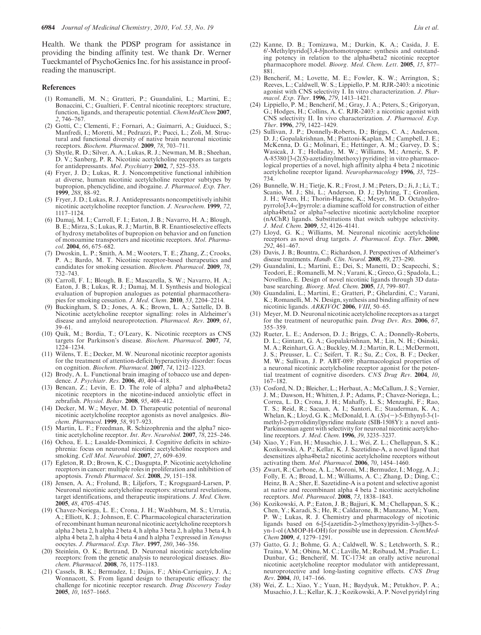Health. We thank the PDSP program for assistance in providing the binding affinity test. We thank Dr. Werner Tueckmantel of PsychoGenics Inc. for his assistance in proofreading the manuscript.

#### References

- (1) Romanelli, M. N.; Gratteri, P.; Guandalini, L.; Martini, E.; Bonaccini, C.; Gualtieri, F. Central nicotinic receptors: structure, function, ligands, and therapeutic potential. ChemMedChem 2007, 2, 746–767.
- (2) Gotti, C.; Clementi, F.; Fornari, A.; Gaimarri, A.; Guiducci, S.; Manfredi, I.; Moretti, M.; Pedrazzi, P.; Pucci, L.; Zoli, M. Structural and functional diversity of native brain neuronal nicotinic receptors. Biochem. Pharmacol. 2009, 78, 703–711.
- (3) Shytle, R. D.; Silver, A. A.; Lukas, R. J.; Newman, M. B.; Sheehan, D. V.; Sanberg, P. R. Nicotinic acetylcholine receptors as targets for antidepressants. Mol. Psychiatry 2002, 7, 525-535.
- (4) Fryer, J. D.; Lukas, R. J. Noncompetitive functional inhibition at diverse, human nicotinic acetylcholine receptor subtypes by bupropion, phencyclidine, and ibogaine. J. Pharmacol. Exp. Ther. 1999, 288, 88–92.
- (5) Fryer, J. D.; Lukas, R. J. Antidepressants noncompetitively inhibit nicotinic acetylcholine receptor function. J. Neurochem. 1999, 72, 1117–1124.
- (6) Damaj, M. I.; Carroll, F. I.; Eaton, J. B.; Navarro, H. A.; Blough, B. E.; Mirza, S.; Lukas, R. J.; Martin, B. R. Enantioselective effects of hydroxy metabolites of bupropion on behavior and on function of monoamine transporters and nicotinic receptors. Mol. Pharmacol. 2004, 66, 675–682.
- (7) Dwoskin, L. P.; Smith, A. M.; Wooters, T. E.; Zhang, Z.; Crooks, P. A.; Bardo, M. T. Nicotinic receptor-based therapeutics and candidates for smoking cessation. Biochem. Pharmacol. 2009, 78, 732–743.
- (8) Carroll, F. I.; Blough, B. E.; Mascarella, S. W.; Navarro, H. A.; Eaton, J. B.; Lukas, R. J.; Damaj, M. I. Synthesis and biological evaluation of bupropion analogues as potential pharmacotherapies for smoking cessation. J. Med. Chem. 2010, 53, 2204-2214.
- (9) Buckingham, S. D.; Jones, A. K.; Brown, L. A.; Sattelle, D. B. Nicotinic acetylcholine receptor signalling: roles in Alzheimer's disease and amyloid neuroprotection. Pharmacol. Rev. 2009, 61, 39–61.
- (10) Quik, M.; Bordia, T.; O'Leary, K. Nicotinic receptors as CNS targets for Parkinson's disease. Biochem. Pharmacol. 2007, 74, 1224–1234.
- (11) Wilens, T. E.; Decker, M. W. Neuronal nicotinic receptor agonists for the treatment of attention-deficit/hyperactivity disorder: focus on cognition. *Biochem. Pharmacol.* **2007**, 74, 1212-1223.
- (12) Brody, A. L. Functional brain imaging of tobacco use and dependence. J. Psychiatr. Res. 2006, 40, 404-418.
- (13) Bencan, Z.; Levin, E. D. The role of alpha7 and alpha4beta2 nicotinic receptors in the nicotine-induced anxiolytic effect in zebrafish. Physiol. Behav. 2008, 95, 408–412.
- (14) Decker, M. W.; Meyer, M. D. Therapeutic potential of neuronal nicotinic acetylcholine receptor agonists as novel analgesics. Biochem. Pharmacol. 1999, 58, 917–923.
- (15) Martin, L. F.; Freedman, R. Schizophrenia and the alpha7 nicotinic acetylcholine receptor. Int. Rev. Neurobiol. 2007, 78, 225–246.
- (16) Ochoa, E. L.; Lasalde-Dominicci, J. Cognitive deficits in schizophrenia: focus on neuronal nicotinic acetylcholine receptors and smoking. Cell Mol. Neurobiol. 2007, 27, 609-639.
- (17) Egleton, R. D.; Brown, K. C.; Dasgupta, P. Nicotinic acetylcholine receptors in cancer: multiple roles in proliferation and inhibition of apoptosis. Trends Pharmacol. Sci. 2008, 29, 151–158.
- (18) Jensen, A. A.; Frolund, B.; Liljefors, T.; Krogsgaard-Larsen, P. Neuronal nicotinic acetylcholine receptors: structural revelations, target identifications, and therapeutic inspirations. J. Med. Chem. 2005, 48, 4705–4745.
- (19) Chavez-Noriega, L. E.; Crona, J. H.; Washburn, M. S.; Urrutia, A.; Elliott, K. J.; Johnson, E. C. Pharmacological characterization of recombinant human neuronal nicotinic acetylcholine receptors h alpha 2 beta 2, h alpha 2 beta 4, h alpha 3 beta 2, h alpha 3 beta 4, h alpha 4 beta 2, h alpha 4 beta 4 and h alpha 7 expressed in Xenopus oocytes. J. Pharmacol. Exp. Ther. 1997, 280, 346–356.
- (20) Steinlein, O. K.; Bertrand, D. Neuronal nicotinic acetylcholine receptors: from the genetic analysis to neurological diseases. Biochem. Pharmacol. 2008, 76, 1175–1183.
- (21) Cassels, B. K.; Bermudez, I.; Dajas, F.; Abin-Carriquiry, J. A.; Wonnacott, S. From ligand design to therapeutic efficacy: the challenge for nicotinic receptor research. Drug Discovery Today 2005, 10, 1657–1665.
- (22) Kanne, D. B.; Tomizawa, M.; Durkin, K. A.; Casida, J. E. 6'-Methylpyrido[3,4-b]norhomotropane: synthesis and outstanding potency in relation to the alpha4beta2 nicotinic receptor pharmacophore model. Bioorg. Med. Chem. Lett. 2005, 15, 877– 881.
- (23) Bencherif, M.; Lovette, M. E.; Fowler, K. W.; Arrington, S.; Reeves, L.; Caldwell, W. S.; Lippiello, P. M. RJR-2403: a nicotinic agonist with CNS selectivity I. In vitro characterization. J. Pharmacol. Exp. Ther. 1996, 279, 1413–1421.
- (24) Lippiello, P. M.; Bencherif, M.; Gray, J. A.; Peters, S.; Grigoryan, G.; Hodges, H.; Collins, A. C. RJR-2403: a nicotinic agonist with CNS selectivity II. In vivo characterization. J. Pharmacol. Exp. Ther. 1996, 279, 1422–1429.
- (25) Sullivan, J. P.; Donnelly-Roberts, D.; Briggs, C. A.; Anderson, D. J.; Gopalakrishnan, M.; Piattoni-Kaplan, M.; Campbell, J. E.; McKenna, D. G.; Molinari, E.; Hettinger, A. M.; Garvey, D. S.; Wasicak, J. T.; Holladay, M. W.; Williams, M.; Arneric, S. P. A-85380 [3-(2(S)-azetidinylmethoxy) pyridine]: in vitro pharmacological properties of a novel, high affinity alpha 4 beta 2 nicotinic acetylcholine receptor ligand. Neuropharmacology 1996, 35, 725– 734.
- (26) Bunnelle, W. H.; Tietje, K. R.; Frost, J. M.; Peters, D.; Ji, J.; Li, T.; Scanio, M. J.; Shi, L.; Anderson, D. J.; Dyhring, T.; Gronlien, J. H.; Ween, H.; Thorin-Hagene, K.; Meyer, M. D. Octahydropyrrolo[3,4-c]pyrrole: a diamine scaffold for construction of either alpha4beta2 or alpha7-selective nicotinic acetylcholine receptor (nAChR) ligands. Substitutions that switch subtype selectivity. J. Med. Chem. 2009, 52, 4126–4141.
- (27) Lloyd, G. K.; Williams, M. Neuronal nicotinic acetylcholine receptors as novel drug targets. J. Pharmacol. Exp. Ther. 2000, 292, 461–467.
- (28) Davis, J. B.; Bountra, C.; Richardson, J. Perspectives of Alzheimer's disease treatments. Handb. Clin. Neurol. 2008, 89, 273–290.
- (29) Guandalini, L.; Martini, E.; Dei, S.; Manetti, D.; Scapecchi, S.; Teodori, E.; Romanelli, M. N.; Varani, K.; Greco, G.; Spadola, L.; Novellino, E. Design of novel nicotinic ligands through 3D database searching. Bioorg. Med. Chem. 2005, 13, 799-807.
- (30) Guandalini, L.; Martini, E.; Gratteri, P.; Ghelardini, C.; Varani, K.; Romanelli, M. N. Design, synthesis and binding affinity of new nicotinic ligands. ARKIVOC 2006, VIII, 50-65.
- (31) Meyer,M. D. Neuronal nicotinic acetylcholine receptors as a target for the treatment of neuropathic pain. Drug Dev. Res. 2006, 67, 355–359.
- (32) Rueter, L. E.; Anderson, D. J.; Briggs, C. A.; Donnelly-Roberts, D. L.; Gintant, G. A.; Gopalakrishnan, M.; Lin, N. H.; Osinski, M. A.; Reinhart, G. A.; Buckley, M. J.; Martin, R. L.; McDermott, J. S.; Preusser, L. C.; Seifert, T. R.; Su, Z.; Cox, B. F.; Decker, M. W.; Sullivan, J. P. ABT-089: pharmacological properties of a neuronal nicotinic acetylcholine receptor agonist for the potential treatment of cognitive disorders. CNS Drug Rev.  $2004$ , 10, 167–182.
- (33) Cosford, N. D.; Bleicher, L.; Herbaut, A.; McCallum, J. S.; Vernier, J. M.; Dawson, H.; Whitten, J. P.; Adams, P.; Chavez-Noriega, L.; Correa, L. D.; Crona, J. H.; Mahaffy, L. S.; Menzaghi, F.; Rao, T. S.; Reid, R.; Sacaan, A. I.; Santori, E.; Stauderman, K. A.; Whelan, K.; Lloyd, G. K.; McDonald, I. A.  $(S)$ - $(-)$ -5-Ethynyl-3- $(1-)$ methyl-2-pyrrolidinyl)pyridine maleate (SIB-1508Y): a novel anti-Parkinsonian agent with selectivity for neuronal nicotinic acetylcholine receptors. J. Med. Chem. 1996, 39, 3235–3237.
- (34) Xiao, Y.; Fan, H.; Musachio, J. L.; Wei, Z. L.; Chellappan, S. K.; Kozikowski, A. P.; Kellar, K. J. Sazetidine-A, a novel ligand that desensitizes alpha4beta2 nicotinic acetylcholine receptors without activating them. Mol. Pharmacol. 2006, 70, 1454–1460.
- (35) Zwart, R.; Carbone, A. L.; Moroni, M.; Bermudez, I.; Mogg, A. J.; Folly, E. A.; Broad, L. M.; Williams, A. C.; Zhang, D.; Ding, C.; Heinz, B. A.; Sher, E. Sazetidine-A is a potent and selective agonist at native and recombinant alpha 4 beta 2 nicotinic acetylcholine receptors. Mol. Pharmacol. 2008, 73, 1838–1843.
- (36) Kozikowski, A. P.; Eaton, J. B.; Bajjuri, K. M.; Chellappan, S. K.; Chen, Y.; Karadi, S.; He, R.; Caldarone, B.; Manzano, M.; Yuen, P. W.; Lukas, R. J. Chemistry and pharmacology of nicotinic ligands based on 6-[5-(azetidin-2-ylmethoxy)pyridin-3-yl]hex-5 yn-1-ol (AMOP-H-OH) for possible use in depression. ChemMed-Chem 2009, 4, 1279-1291.
- (37) Gatto, G. J.; Bohme, G. A.; Caldwell, W. S.; Letchworth, S. R.; Traina, V. M.; Obinu, M. C.; Laville, M.; Reibaud, M.; Pradier, L.; Dunbar, G.; Bencherif, M. TC-1734: an orally active neuronal nicotinic acetylcholine receptor modulator with antidepressant, neuroprotective and long-lasting cognitive effects. CNS Drug Rev. 2004, 10, 147–166.
- (38) Wei, Z. L.; Xiao, Y.; Yuan, H.; Baydyuk, M.; Petukhov, P. A.; Musachio, J. L.; Kellar, K. J.; Kozikowski, A. P. Novel pyridyl ring